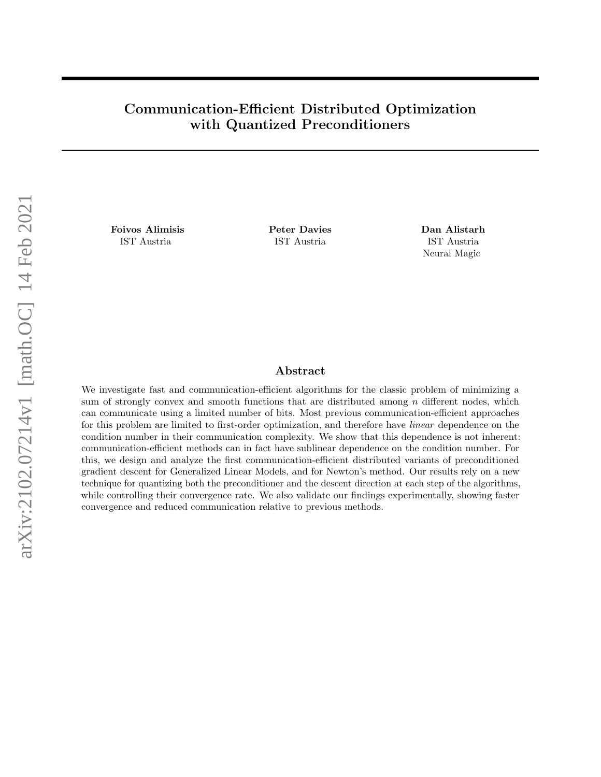# Communication-Efficient Distributed Optimization with Quantized Preconditioners

Foivos Alimisis Peter Davies Dan Alistarh IST Austria IST Austria IST Austria

Neural Magic

# Abstract

We investigate fast and communication-efficient algorithms for the classic problem of minimizing a sum of strongly convex and smooth functions that are distributed among  $n$  different nodes, which can communicate using a limited number of bits. Most previous communication-efficient approaches for this problem are limited to first-order optimization, and therefore have linear dependence on the condition number in their communication complexity. We show that this dependence is not inherent: communication-efficient methods can in fact have sublinear dependence on the condition number. For this, we design and analyze the first communication-efficient distributed variants of preconditioned gradient descent for Generalized Linear Models, and for Newton's method. Our results rely on a new technique for quantizing both the preconditioner and the descent direction at each step of the algorithms, while controlling their convergence rate. We also validate our findings experimentally, showing faster convergence and reduced communication relative to previous methods.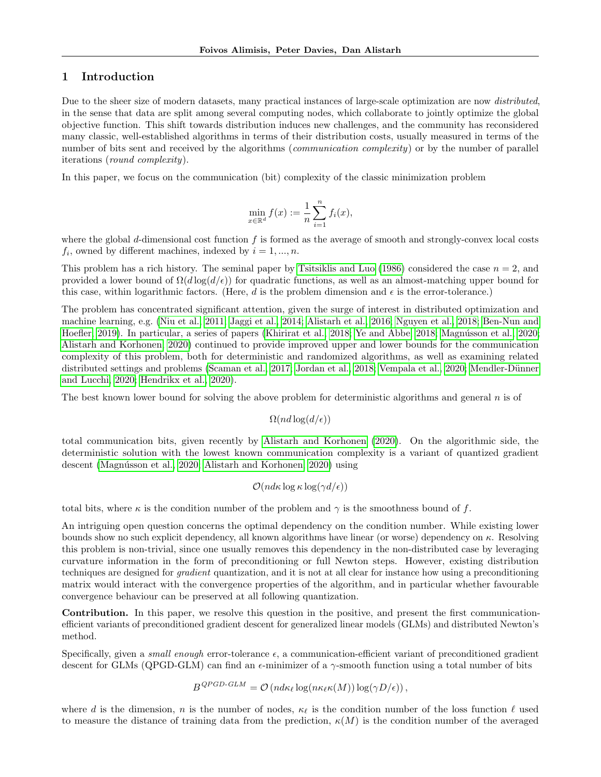## 1 Introduction

Due to the sheer size of modern datasets, many practical instances of large-scale optimization are now distributed, in the sense that data are split among several computing nodes, which collaborate to jointly optimize the global objective function. This shift towards distribution induces new challenges, and the community has reconsidered many classic, well-established algorithms in terms of their distribution costs, usually measured in terms of the number of bits sent and received by the algorithms (*communication complexity*) or by the number of parallel iterations (round complexity).

In this paper, we focus on the communication (bit) complexity of the classic minimization problem

$$
\min_{x \in \mathbb{R}^d} f(x) := \frac{1}{n} \sum_{i=1}^n f_i(x),
$$

where the global d-dimensional cost function  $f$  is formed as the average of smooth and strongly-convex local costs  $f_i$ , owned by different machines, indexed by  $i = 1, ..., n$ .

This problem has a rich history. The seminal paper by [Tsitsiklis and Luo](#page-15-0) [\(1986\)](#page-15-0) considered the case  $n = 2$ , and provided a lower bound of  $\Omega(d \log(d/\epsilon))$  for quadratic functions, as well as an almost-matching upper bound for this case, within logarithmic factors. (Here, d is the problem dimension and  $\epsilon$  is the error-tolerance.)

The problem has concentrated significant attention, given the surge of interest in distributed optimization and machine learning, e.g. [\(Niu et al., 2011;](#page-14-0) [Jaggi et al., 2014;](#page-14-1) [Alistarh et al., 2016;](#page-14-2) [Nguyen et al., 2018;](#page-14-3) [Ben-Nun and](#page-14-4) [Hoefler, 2019\)](#page-14-4). In particular, a series of papers [\(Khirirat et al., 2018;](#page-14-5) [Ye and Abbe, 2018;](#page-15-1) Magnússon et al., 2020; [Alistarh and Korhonen, 2020\)](#page-14-7) continued to provide improved upper and lower bounds for the communication complexity of this problem, both for deterministic and randomized algorithms, as well as examining related distributed settings and problems [\(Scaman et al., 2017;](#page-14-8) [Jordan et al., 2018;](#page-14-9) [Vempala et al., 2020;](#page-15-2) Mendler-Dünner [and Lucchi, 2020;](#page-14-10) [Hendrikx et al., 2020\)](#page-14-11).

The best known lower bound for solving the above problem for deterministic algorithms and general  $n$  is of

 $\Omega(nd \log(d/\epsilon))$ 

total communication bits, given recently by [Alistarh and Korhonen](#page-14-7) [\(2020\)](#page-14-7). On the algorithmic side, the deterministic solution with the lowest known communication complexity is a variant of quantized gradient descent (Magnússon et al., 2020; [Alistarh and Korhonen, 2020\)](#page-14-7) using

$$
\mathcal{O}(nd\kappa\log\kappa\log(\gamma d/\epsilon))
$$

total bits, where  $\kappa$  is the condition number of the problem and  $\gamma$  is the smoothness bound of f.

An intriguing open question concerns the optimal dependency on the condition number. While existing lower bounds show no such explicit dependency, all known algorithms have linear (or worse) dependency on κ. Resolving this problem is non-trivial, since one usually removes this dependency in the non-distributed case by leveraging curvature information in the form of preconditioning or full Newton steps. However, existing distribution techniques are designed for gradient quantization, and it is not at all clear for instance how using a preconditioning matrix would interact with the convergence properties of the algorithm, and in particular whether favourable convergence behaviour can be preserved at all following quantization.

Contribution. In this paper, we resolve this question in the positive, and present the first communicationefficient variants of preconditioned gradient descent for generalized linear models (GLMs) and distributed Newton's method.

Specifically, given a *small enough* error-tolerance  $\epsilon$ , a communication-efficient variant of preconditioned gradient descent for GLMs (QPGD-GLM) can find an  $\epsilon$ -minimizer of a  $\gamma$ -smooth function using a total number of bits

$$
B^{QPGD\text{-}GLM} = \mathcal{O}\left(nd\kappa_{\ell}\log(n\kappa_{\ell}\kappa(M))\log(\gamma D/\epsilon)\right),\,
$$

where d is the dimension, n is the number of nodes,  $\kappa_{\ell}$  is the condition number of the loss function  $\ell$  used to measure the distance of training data from the prediction,  $\kappa(M)$  is the condition number of the averaged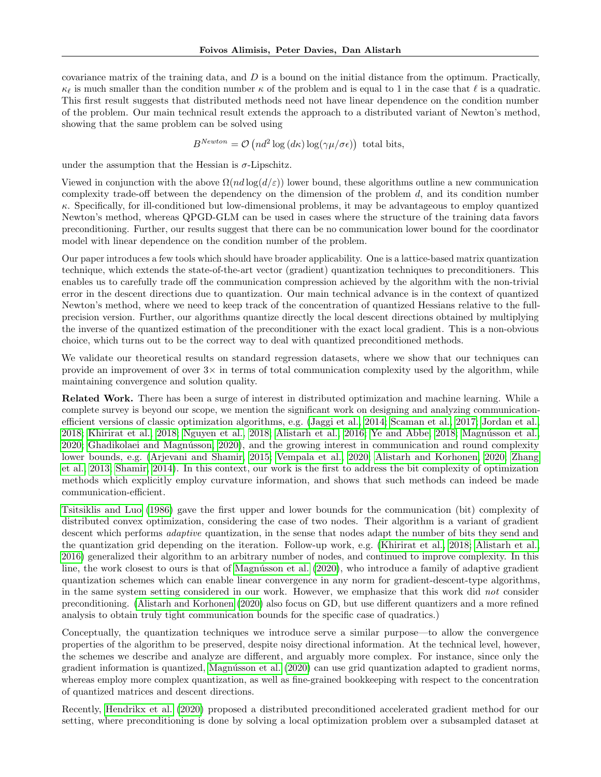covariance matrix of the training data, and  $D$  is a bound on the initial distance from the optimum. Practically,  $\kappa_{\ell}$  is much smaller than the condition number  $\kappa$  of the problem and is equal to 1 in the case that  $\ell$  is a quadratic. This first result suggests that distributed methods need not have linear dependence on the condition number of the problem. Our main technical result extends the approach to a distributed variant of Newton's method, showing that the same problem can be solved using

 $B^{Newton} = \mathcal{O}\left(nd^2 \log\left(d\kappa\right) \log\left(\gamma \mu/\sigma\epsilon\right)\right)$  total bits,

under the assumption that the Hessian is  $\sigma$ -Lipschitz.

Viewed in conjunction with the above  $\Omega(nd|\epsilon))$  lower bound, these algorithms outline a new communication complexity trade-off between the dependency on the dimension of the problem  $d$ , and its condition number  $\kappa$ . Specifically, for ill-conditioned but low-dimensional problems, it may be advantageous to employ quantized Newton's method, whereas QPGD-GLM can be used in cases where the structure of the training data favors preconditioning. Further, our results suggest that there can be no communication lower bound for the coordinator model with linear dependence on the condition number of the problem.

Our paper introduces a few tools which should have broader applicability. One is a lattice-based matrix quantization technique, which extends the state-of-the-art vector (gradient) quantization techniques to preconditioners. This enables us to carefully trade off the communication compression achieved by the algorithm with the non-trivial error in the descent directions due to quantization. Our main technical advance is in the context of quantized Newton's method, where we need to keep track of the concentration of quantized Hessians relative to the fullprecision version. Further, our algorithms quantize directly the local descent directions obtained by multiplying the inverse of the quantized estimation of the preconditioner with the exact local gradient. This is a non-obvious choice, which turns out to be the correct way to deal with quantized preconditioned methods.

We validate our theoretical results on standard regression datasets, where we show that our techniques can provide an improvement of over  $3\times$  in terms of total communication complexity used by the algorithm, while maintaining convergence and solution quality.

Related Work. There has been a surge of interest in distributed optimization and machine learning. While a complete survey is beyond our scope, we mention the significant work on designing and analyzing communicationefficient versions of classic optimization algorithms, e.g. [\(Jaggi et al., 2014;](#page-14-1) [Scaman et al., 2017;](#page-14-8) [Jordan et al.,](#page-14-9) [2018;](#page-14-9) [Khirirat et al., 2018;](#page-14-5) [Nguyen et al., 2018;](#page-14-3) [Alistarh et al., 2016;](#page-14-2) [Ye and Abbe, 2018;](#page-15-1) Magnússon et al., [2020;](#page-14-6) Ghadikolaei and Magnússon, 2020), and the growing interest in communication and round complexity lower bounds, e.g. [\(Arjevani and Shamir, 2015;](#page-14-13) [Vempala et al., 2020;](#page-15-2) [Alistarh and Korhonen, 2020;](#page-14-7) [Zhang](#page-15-3) [et al., 2013;](#page-15-3) [Shamir, 2014\)](#page-14-14). In this context, our work is the first to address the bit complexity of optimization methods which explicitly employ curvature information, and shows that such methods can indeed be made communication-efficient.

[Tsitsiklis and Luo](#page-15-0) [\(1986\)](#page-15-0) gave the first upper and lower bounds for the communication (bit) complexity of distributed convex optimization, considering the case of two nodes. Their algorithm is a variant of gradient descent which performs *adaptive* quantization, in the sense that nodes adapt the number of bits they send and the quantization grid depending on the iteration. Follow-up work, e.g. [\(Khirirat et al., 2018;](#page-14-5) [Alistarh et al.,](#page-14-2) [2016\)](#page-14-2) generalized their algorithm to an arbitrary number of nodes, and continued to improve complexity. In this line, the work closest to ours is that of Magnússon et al. [\(2020\)](#page-14-6), who introduce a family of adaptive gradient quantization schemes which can enable linear convergence in any norm for gradient-descent-type algorithms, in the same system setting considered in our work. However, we emphasize that this work did not consider preconditioning. [\(Alistarh and Korhonen](#page-14-7) [\(2020\)](#page-14-7) also focus on GD, but use different quantizers and a more refined analysis to obtain truly tight communication bounds for the specific case of quadratics.)

Conceptually, the quantization techniques we introduce serve a similar purpose—to allow the convergence properties of the algorithm to be preserved, despite noisy directional information. At the technical level, however, the schemes we describe and analyze are different, and arguably more complex. For instance, since only the gradient information is quantized, Magnússon et al. [\(2020\)](#page-14-6) can use grid quantization adapted to gradient norms, whereas employ more complex quantization, as well as fine-grained bookkeeping with respect to the concentration of quantized matrices and descent directions.

Recently, [Hendrikx et al.](#page-14-11) [\(2020\)](#page-14-11) proposed a distributed preconditioned accelerated gradient method for our setting, where preconditioning is done by solving a local optimization problem over a subsampled dataset at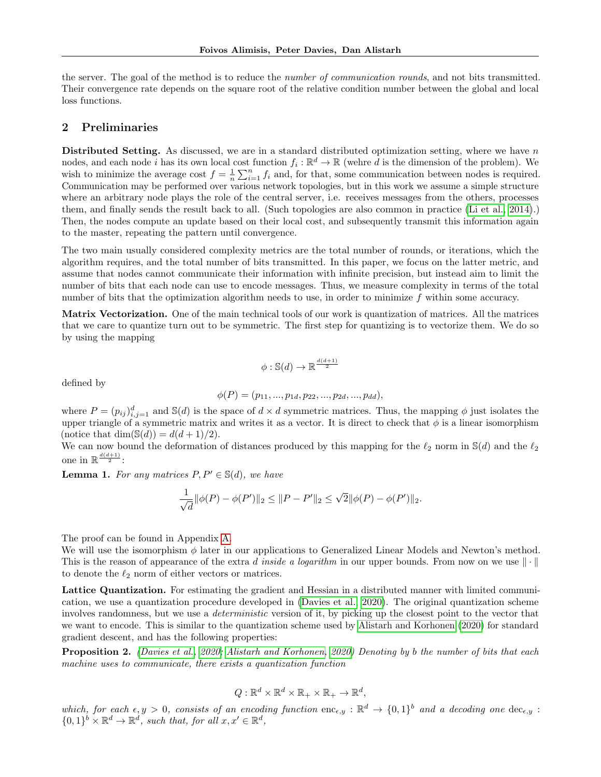the server. The goal of the method is to reduce the *number of communication rounds*, and not bits transmitted. Their convergence rate depends on the square root of the relative condition number between the global and local loss functions.

### <span id="page-3-0"></span>2 Preliminaries

Distributed Setting. As discussed, we are in a standard distributed optimization setting, where we have  $n$ nodes, and each node i has its own local cost function  $f_i : \mathbb{R}^d \to \mathbb{R}$  (wehre d is the dimension of the problem). We wish to minimize the average cost  $f = \frac{1}{n} \sum_{i=1}^{n} f_i$  and, for that, some communication between nodes is required. Communication may be performed over various network topologies, but in this work we assume a simple structure where an arbitrary node plays the role of the central server, i.e. receives messages from the others, processes them, and finally sends the result back to all. (Such topologies are also common in practice [\(Li et al., 2014\)](#page-14-15).) Then, the nodes compute an update based on their local cost, and subsequently transmit this information again to the master, repeating the pattern until convergence.

The two main usually considered complexity metrics are the total number of rounds, or iterations, which the algorithm requires, and the total number of bits transmitted. In this paper, we focus on the latter metric, and assume that nodes cannot communicate their information with infinite precision, but instead aim to limit the number of bits that each node can use to encode messages. Thus, we measure complexity in terms of the total number of bits that the optimization algorithm needs to use, in order to minimize  $f$  within some accuracy.

Matrix Vectorization. One of the main technical tools of our work is quantization of matrices. All the matrices that we care to quantize turn out to be symmetric. The first step for quantizing is to vectorize them. We do so by using the mapping

$$
\phi: \mathbb{S}(d) \to \mathbb{R}^{\frac{d(d+1)}{2}}
$$

defined by

$$
\phi(P) = (p_{11}, ..., p_{1d}, p_{22}, ..., p_{2d}, ..., p_{dd}),
$$

where  $P = (p_{ij})_{i,j=1}^d$  and  $\mathbb{S}(d)$  is the space of  $d \times d$  symmetric matrices. Thus, the mapping  $\phi$  just isolates the upper triangle of a symmetric matrix and writes it as a vector. It is direct to check that  $\phi$  is a linear isomorphism (notice that  $\dim(\mathbb{S}(d)) = d(d+1)/2$ ).

We can now bound the deformation of distances produced by this mapping for the  $\ell_2$  norm in S(d) and the  $\ell_2$ one in  $\mathbb{R}^{\frac{d(d+1)}{2}}$ :

**Lemma 1.** For any matrices  $P, P' \in \mathbb{S}(d)$ , we have

$$
\frac{1}{\sqrt{d}} \|\phi(P) - \phi(P')\|_2 \le \|P - P'\|_2 \le \sqrt{2} \|\phi(P) - \phi(P')\|_2.
$$

The proof can be found in Appendix [A.](#page-16-0)

We will use the isomorphism  $\phi$  later in our applications to Generalized Linear Models and Newton's method. This is the reason of appearance of the extra d inside a logarithm in our upper bounds. From now on we use  $\|\cdot\|$ to denote the  $\ell_2$  norm of either vectors or matrices.

Lattice Quantization. For estimating the gradient and Hessian in a distributed manner with limited communication, we use a quantization procedure developed in [\(Davies et al., 2020\)](#page-14-16). The original quantization scheme involves randomness, but we use a *deterministic* version of it, by picking up the closest point to the vector that we want to encode. This is similar to the quantization scheme used by [Alistarh and Korhonen](#page-14-7) [\(2020\)](#page-14-7) for standard gradient descent, and has the following properties:

Proposition 2. [\(Davies et al., 2020;](#page-14-16) [Alistarh and Korhonen, 2020\)](#page-14-7) Denoting by b the number of bits that each machine uses to communicate, there exists a quantization function

$$
Q: \mathbb{R}^d \times \mathbb{R}^d \times \mathbb{R}_+ \times \mathbb{R}_+ \to \mathbb{R}^d,
$$

which, for each  $\epsilon, y > 0$ , consists of an encoding function  $\text{enc}_{\epsilon, y} : \mathbb{R}^d \to \{0, 1\}^b$  and a decoding one  $\text{dec}_{\epsilon, y}$ :  $\{0,1\}^b \times \mathbb{R}^d \to \mathbb{R}^d$ , such that, for all  $x, x' \in \mathbb{R}^d$ ,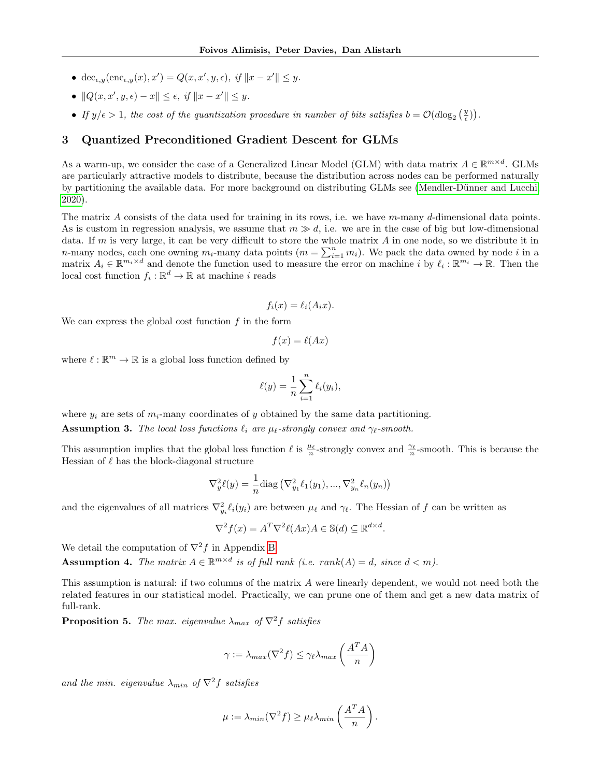- dec<sub> $\epsilon, y$ </sub> (enc<sub> $\epsilon, y(x), x'$ ) =  $Q(x, x', y, \epsilon)$ , if  $||x x'|| \leq y$ .</sub>
- $||Q(x, x', y, \epsilon) x|| \leq \epsilon$ , if  $||x x'|| \leq y$ .
- If  $y/\epsilon > 1$ , the cost of the quantization procedure in number of bits satisfies  $b = \mathcal{O}(d \log_2(\frac{y}{\epsilon}))$ .

# <span id="page-4-0"></span>3 Quantized Preconditioned Gradient Descent for GLMs

As a warm-up, we consider the case of a Generalized Linear Model (GLM) with data matrix  $A \in \mathbb{R}^{m \times d}$ . GLMs are particularly attractive models to distribute, because the distribution across nodes can be performed naturally by partitioning the available data. For more background on distributing GLMs see (Mendler-Dünner and Lucchi, [2020\)](#page-14-10).

The matrix A consists of the data used for training in its rows, i.e. we have  $m$ -many d-dimensional data points. As is custom in regression analysis, we assume that  $m \gg d$ , i.e. we are in the case of big but low-dimensional data. If m is very large, it can be very difficult to store the whole matrix  $A$  in one node, so we distribute it in n-many nodes, each one owning  $m_i$ -many data points  $(m = \sum_{i=1}^n m_i)$ . We pack the data owned by node i in a matrix  $A_i \in \mathbb{R}^{m_i \times d}$  and denote the function used to measure the error on machine i by  $\ell_i : \mathbb{R}^{m_i} \to \mathbb{R}$ . Then the local cost function  $f_i: \mathbb{R}^d \to \mathbb{R}$  at machine i reads

$$
f_i(x) = \ell_i(A_i x).
$$

We can express the global cost function  $f$  in the form

$$
f(x) = \ell(Ax)
$$

where  $\ell : \mathbb{R}^m \to \mathbb{R}$  is a global loss function defined by

$$
\ell(y) = \frac{1}{n} \sum_{i=1}^{n} \ell_i(y_i),
$$

where  $y_i$  are sets of  $m_i$ -many coordinates of y obtained by the same data partitioning.

**Assumption 3.** The local loss functions  $\ell_i$  are  $\mu_\ell$ -strongly convex and  $\gamma_\ell$ -smooth.

This assumption implies that the global loss function  $\ell$  is  $\frac{\mu_{\ell}}{n}$ -strongly convex and  $\frac{\gamma_{\ell}}{n}$ -smooth. This is because the Hessian of  $\ell$  has the block-diagonal structure

$$
\nabla_y^2 \ell(y) = \frac{1}{n} \text{diag}\left(\nabla_{y_1}^2 \ell_1(y_1), ..., \nabla_{y_n}^2 \ell_n(y_n)\right)
$$

and the eigenvalues of all matrices  $\nabla_{y_i}^2 \ell_i(y_i)$  are between  $\mu_\ell$  and  $\gamma_\ell$ . The Hessian of f can be written as

$$
\nabla^2 f(x) = A^T \nabla^2 \ell(Ax) A \in \mathbb{S}(d) \subseteq \mathbb{R}^{d \times d}.
$$

We detail the computation of  $\nabla^2 f$  in Appendix [B.](#page-16-1)

**Assumption 4.** The matrix  $A \in \mathbb{R}^{m \times d}$  is of full rank (i.e. rank(A) = d, since  $d < m$ ).

This assumption is natural: if two columns of the matrix A were linearly dependent, we would not need both the related features in our statistical model. Practically, we can prune one of them and get a new data matrix of full-rank.

<span id="page-4-1"></span>**Proposition 5.** The max. eigenvalue  $\lambda_{max}$  of  $\nabla^2 f$  satisfies

$$
\gamma := \lambda_{max}(\nabla^2 f) \leq \gamma_{\ell} \lambda_{max}\left(\frac{A^T A}{n}\right)
$$

and the min. eigenvalue  $\lambda_{min}$  of  $\nabla^2 f$  satisfies

$$
\mu := \lambda_{min}(\nabla^2 f) \ge \mu_{\ell} \lambda_{min}\left(\frac{A^T A}{n}\right).
$$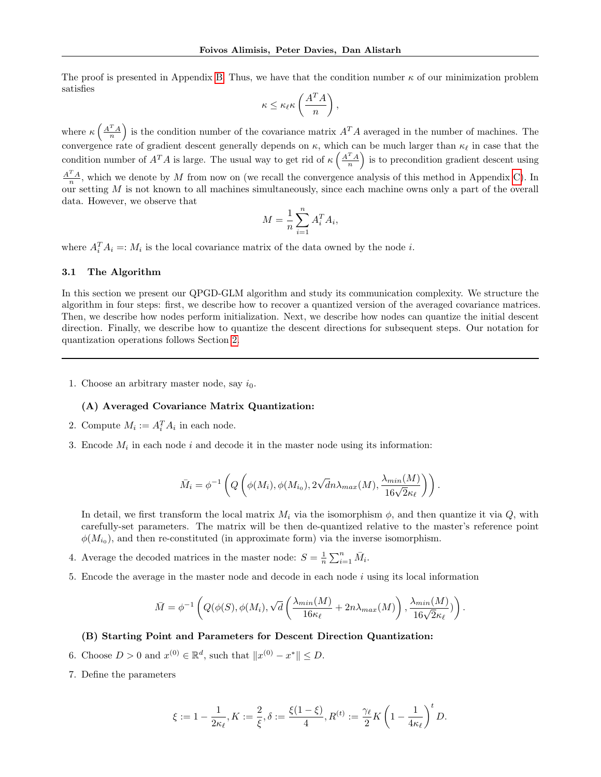The proof is presented in Appendix [B.](#page-16-1) Thus, we have that the condition number  $\kappa$  of our minimization problem satisfies

$$
\kappa \leq \kappa_{\ell} \kappa \left( \frac{A^T A}{n} \right),
$$

where  $\kappa\left(\frac{A^TA}{n}\right)$  is the condition number of the covariance matrix  $A^TA$  averaged in the number of machines. The convergence rate of gradient descent generally depends on  $\kappa$ , which can be much larger than  $\kappa_{\ell}$  in case that the condition number of  $A^T A$  is large. The usual way to get rid of  $\kappa\left(\frac{A^T A}{n}\right)$  is to precondition gradient descent using  $\frac{A^T A}{n}$ , which we denote by M from now on (we recall the convergence analysis of this method in Appendix [C\)](#page-18-0). In our setting  $M$  is not known to all machines simultaneously, since each machine owns only a part of the overall data. However, we observe that

$$
M = \frac{1}{n} \sum_{i=1}^{n} A_i^T A_i,
$$

where  $A_i^T A_i =: M_i$  is the local covariance matrix of the data owned by the node *i*.

#### 3.1 The Algorithm

In this section we present our QPGD-GLM algorithm and study its communication complexity. We structure the algorithm in four steps: first, we describe how to recover a quantized version of the averaged covariance matrices. Then, we describe how nodes perform initialization. Next, we describe how nodes can quantize the initial descent direction. Finally, we describe how to quantize the descent directions for subsequent steps. Our notation for quantization operations follows Section [2.](#page-3-0)

1. Choose an arbitrary master node, say  $i_0$ .

#### (A) Averaged Covariance Matrix Quantization:

- 2. Compute  $M_i := A_i^T A_i$  in each node.
- 3. Encode  $M_i$  in each node i and decode it in the master node using its information:

$$
\bar{M}_i = \phi^{-1}\left(Q\left(\phi(M_i), \phi(M_{i_0}), 2\sqrt{d}n\lambda_{max}(M), \frac{\lambda_{min}(M)}{16\sqrt{2}\kappa_{\ell}}\right)\right).
$$

In detail, we first transform the local matrix  $M_i$  via the isomorphism  $\phi$ , and then quantize it via Q, with carefully-set parameters. The matrix will be then de-quantized relative to the master's reference point  $\phi(M_{i_0})$ , and then re-constituted (in approximate form) via the inverse isomorphism.

- 4. Average the decoded matrices in the master node:  $S = \frac{1}{n} \sum_{i=1}^{n} \bar{M}_i$ .
- 5. Encode the average in the master node and decode in each node  $i$  using its local information

$$
\bar{M} = \phi^{-1}\left(Q(\phi(S), \phi(M_i), \sqrt{d}\left(\frac{\lambda_{min}(M)}{16\kappa_{\ell}} + 2n\lambda_{max}(M)\right), \frac{\lambda_{min}(M)}{16\sqrt{2}\kappa_{\ell}})\right).
$$

#### (B) Starting Point and Parameters for Descent Direction Quantization:

- 6. Choose  $D > 0$  and  $x^{(0)} \in \mathbb{R}^d$ , such that  $||x^{(0)} x^*|| \le D$ .
- 7. Define the parameters

$$
\xi:=1-\frac{1}{2\kappa_\ell}, K:=\frac{2}{\xi}, \delta:=\frac{\xi(1-\xi)}{4}, R^{(t)}:=\frac{\gamma_\ell}{2}K\left(1-\frac{1}{4\kappa_\ell}\right)^tD.
$$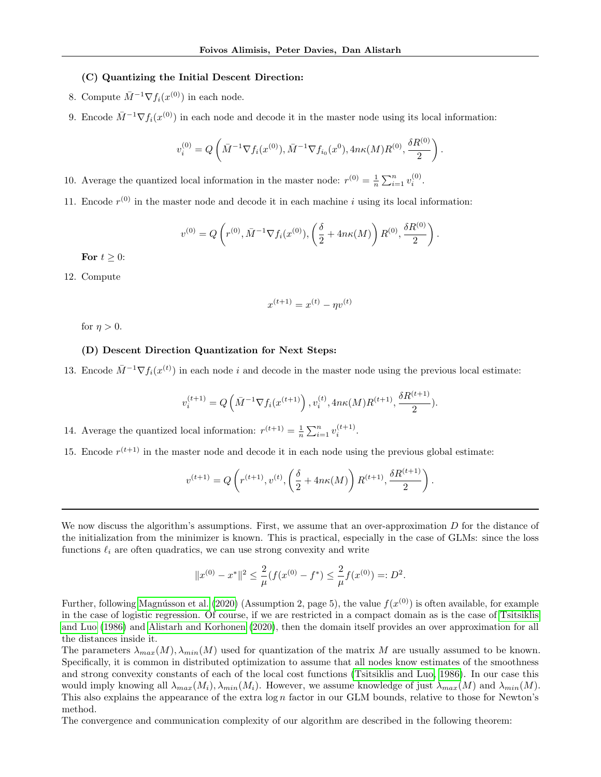### (C) Quantizing the Initial Descent Direction:

- 8. Compute  $\bar{M}^{-1} \nabla f_i(x^{(0)})$  in each node.
- 9. Encode  $\bar{M}^{-1} \nabla f_i(x^{(0)})$  in each node and decode it in the master node using its local information:

$$
v_i^{(0)} = Q\left(\bar{M}^{-1} \nabla f_i(x^{(0)}), \bar{M}^{-1} \nabla f_{i_0}(x^0), 4n\kappa(M)R^{(0)}, \frac{\delta R^{(0)}}{2}\right).
$$

10. Average the quantized local information in the master node:  $r^{(0)} = \frac{1}{n} \sum_{i=1}^{n} v_i^{(0)}$ .

11. Encode  $r^{(0)}$  in the master node and decode it in each machine i using its local information:

$$
v^{(0)} = Q\left(r^{(0)}, \bar{M}^{-1} \nabla f_i(x^{(0)}), \left(\frac{\delta}{2} + 4n\kappa(M)\right) R^{(0)}, \frac{\delta R^{(0)}}{2}\right).
$$

For  $t \geq 0$ :

12. Compute

$$
x^{(t+1)} = x^{(t)} - \eta v^{(t)}
$$

for  $\eta > 0$ .

# (D) Descent Direction Quantization for Next Steps:

13. Encode  $\bar{M}^{-1} \nabla f_i(x^{(t)})$  in each node i and decode in the master node using the previous local estimate:

$$
v_i^{(t+1)} = Q\left(\bar{M}^{-1} \nabla f_i(x^{(t+1)})\right), v_i^{(t)}, 4n\kappa(M)R^{(t+1)}, \frac{\delta R^{(t+1)}}{2}).
$$

14. Average the quantized local information:  $r^{(t+1)} = \frac{1}{n} \sum_{i=1}^{n} v_i^{(t+1)}$ .

15. Encode  $r^{(t+1)}$  in the master node and decode it in each node using the previous global estimate:

$$
v^{(t+1)} = Q\left(r^{(t+1)}, v^{(t)}, \left(\frac{\delta}{2} + 4n\kappa(M)\right)R^{(t+1)}, \frac{\delta R^{(t+1)}}{2}\right).
$$

We now discuss the algorithm's assumptions. First, we assume that an over-approximation  $D$  for the distance of the initialization from the minimizer is known. This is practical, especially in the case of GLMs: since the loss functions  $\ell_i$  are often quadratics, we can use strong convexity and write

$$
||x^{(0)} - x^*||^2 \le \frac{2}{\mu} (f(x^{(0)} - f^*) \le \frac{2}{\mu} f(x^{(0)}) =: D^2.
$$

Further, following Magnússon et al. [\(2020\)](#page-14-6) (Assumption 2, page 5), the value  $f(x^{(0)})$  is often available, for example in the case of logistic regression. Of course, if we are restricted in a compact domain as is the case of [Tsitsiklis](#page-15-0) [and Luo](#page-15-0) [\(1986\)](#page-15-0) and [Alistarh and Korhonen](#page-14-7) [\(2020\)](#page-14-7), then the domain itself provides an over approximation for all the distances inside it.

The parameters  $\lambda_{max}(M), \lambda_{min}(M)$  used for quantization of the matrix M are usually assumed to be known. Specifically, it is common in distributed optimization to assume that all nodes know estimates of the smoothness and strong convexity constants of each of the local cost functions [\(Tsitsiklis and Luo, 1986\)](#page-15-0). In our case this would imply knowing all  $\lambda_{max}(M_i), \lambda_{min}(M_i)$ . However, we assume knowledge of just  $\lambda_{max}(M)$  and  $\lambda_{min}(M)$ . This also explains the appearance of the extra  $\log n$  factor in our GLM bounds, relative to those for Newton's method.

The convergence and communication complexity of our algorithm are described in the following theorem: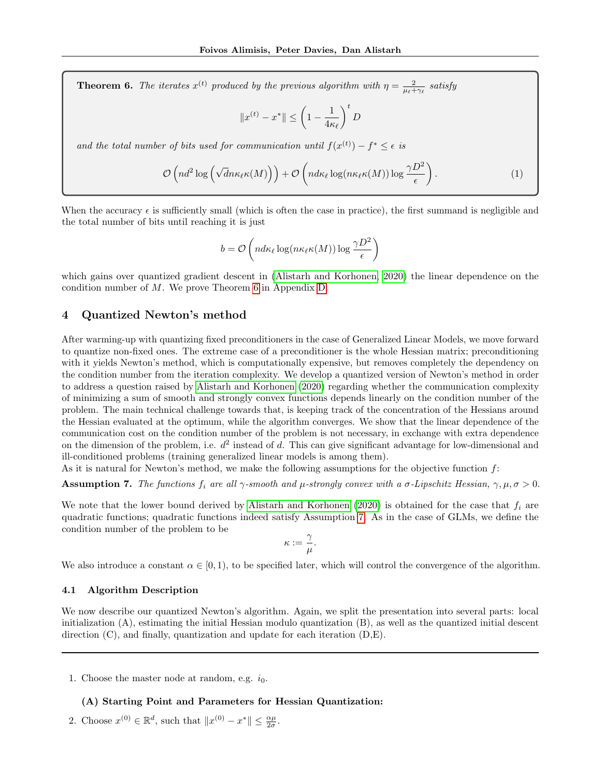<span id="page-7-0"></span>**Theorem 6.** The iterates  $x^{(t)}$  produced by the previous algorithm with  $\eta = \frac{2}{\mu_t + \gamma_t}$  satisfy

<span id="page-7-2"></span>
$$
||x^{(t)} - x^*|| \le \left(1 - \frac{1}{4\kappa_\ell}\right)^t D
$$

and the total number of bits used for communication until  $f(x^{(t)}) - f^* \leq \epsilon$  is

$$
\mathcal{O}\left(nd^2\log\left(\sqrt{dn}\kappa_{\ell}\kappa(M)\right)\right) + \mathcal{O}\left(nd\kappa_{\ell}\log(n\kappa_{\ell}\kappa(M))\log\frac{\gamma D^2}{\epsilon}\right). \tag{1}
$$

When the accuracy  $\epsilon$  is sufficiently small (which is often the case in practice), the first summand is negligible and the total number of bits until reaching it is just

$$
b = \mathcal{O}\left(nd\kappa_{\ell}\log(n\kappa_{\ell}\kappa(M))\log\frac{\gamma D^2}{\epsilon}\right)
$$

which gains over quantized gradient descent in [\(Alistarh and Korhonen, 2020\)](#page-14-7) the linear dependence on the condition number of M. We prove Theorem [6](#page-7-0) in Appendix [D.](#page-19-0)

## 4 Quantized Newton's method

After warming-up with quantizing fixed preconditioners in the case of Generalized Linear Models, we move forward to quantize non-fixed ones. The extreme case of a preconditioner is the whole Hessian matrix; preconditioning with it yields Newton's method, which is computationally expensive, but removes completely the dependency on the condition number from the iteration complexity. We develop a quantized version of Newton's method in order to address a question raised by [Alistarh and Korhonen](#page-14-7) [\(2020\)](#page-14-7) regarding whether the communication complexity of minimizing a sum of smooth and strongly convex functions depends linearly on the condition number of the problem. The main technical challenge towards that, is keeping track of the concentration of the Hessians around the Hessian evaluated at the optimum, while the algorithm converges. We show that the linear dependence of the communication cost on the condition number of the problem is not necessary, in exchange with extra dependence on the dimension of the problem, i.e.  $d^2$  instead of d. This can give significant advantage for low-dimensional and ill-conditioned problems (training generalized linear models is among them).

As it is natural for Newton's method, we make the following assumptions for the objective function  $f$ :

<span id="page-7-1"></span>**Assumption 7.** The functions  $f_i$  are all  $\gamma$ -smooth and  $\mu$ -strongly convex with a  $\sigma$ -Lipschitz Hessian,  $\gamma, \mu, \sigma > 0$ .

We note that the lower bound derived by [Alistarh and Korhonen](#page-14-7) [\(2020\)](#page-14-7) is obtained for the case that  $f_i$  are quadratic functions; quadratic functions indeed satisfy Assumption [7.](#page-7-1) As in the case of GLMs, we define the condition number of the problem to be

$$
\kappa := \frac{\gamma}{\mu}.
$$

We also introduce a constant  $\alpha \in [0, 1)$ , to be specified later, which will control the convergence of the algorithm.

#### 4.1 Algorithm Description

We now describe our quantized Newton's algorithm. Again, we split the presentation into several parts: local initialization (A), estimating the initial Hessian modulo quantization (B), as well as the quantized initial descent direction  $(C)$ , and finally, quantization and update for each iteration  $(D,E)$ .

1. Choose the master node at random, e.g.  $i_0$ .

# (A) Starting Point and Parameters for Hessian Quantization:

2. Choose  $x^{(0)} \in \mathbb{R}^d$ , such that  $||x^{(0)} - x^*|| \le \frac{\alpha \mu}{2\sigma}$ .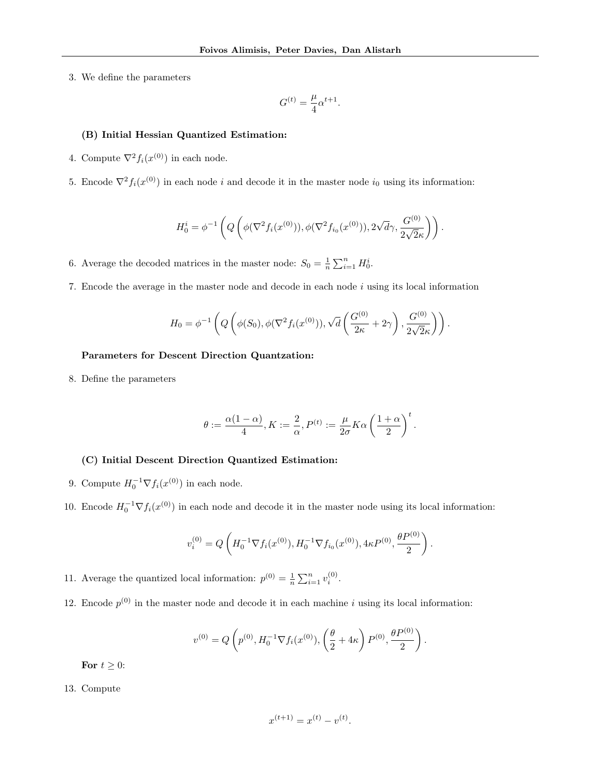3. We define the parameters

$$
G^{(t)} = \frac{\mu}{4} \alpha^{t+1}.
$$

## (B) Initial Hessian Quantized Estimation:

- 4. Compute  $\nabla^2 f_i(x^{(0)})$  in each node.
- 5. Encode  $\nabla^2 f_i(x^{(0)})$  in each node i and decode it in the master node i<sub>0</sub> using its information:

$$
H_0^i = \phi^{-1}\left(Q\left(\phi(\nabla^2 f_i(x^{(0)})), \phi(\nabla^2 f_{i_0}(x^{(0)})), 2\sqrt{d}\gamma, \frac{G^{(0)}}{2\sqrt{2}\kappa}\right)\right).
$$

6. Average the decoded matrices in the master node:  $S_0 = \frac{1}{n} \sum_{i=1}^n H_0^i$ .

7. Encode the average in the master node and decode in each node i using its local information

$$
H_0 = \phi^{-1}\left(Q\left(\phi(S_0), \phi(\nabla^2 f_i(x^{(0)})), \sqrt{d}\left(\frac{G^{(0)}}{2\kappa} + 2\gamma\right), \frac{G^{(0)}}{2\sqrt{2}\kappa}\right)\right).
$$

## Parameters for Descent Direction Quantzation:

8. Define the parameters

$$
\theta:=\frac{\alpha(1-\alpha)}{4}, K:=\frac{2}{\alpha}, P^{(t)}:=\frac{\mu}{2\sigma}K\alpha\left(\frac{1+\alpha}{2}\right)^t.
$$

#### (C) Initial Descent Direction Quantized Estimation:

- 9. Compute  $H_0^{-1} \nabla f_i(x^{(0)})$  in each node.
- 10. Encode  $H_0^{-1} \nabla f_i(x^{(0)})$  in each node and decode it in the master node using its local information:

$$
v_i^{(0)} = Q\left(H_0^{-1} \nabla f_i(x^{(0)}), H_0^{-1} \nabla f_{i_0}(x^{(0)}), 4\kappa P^{(0)}, \frac{\theta P^{(0)}}{2}\right).
$$

11. Average the quantized local information:  $p^{(0)} = \frac{1}{n} \sum_{i=1}^{n} v_i^{(0)}$ .

12. Encode  $p^{(0)}$  in the master node and decode it in each machine i using its local information:

$$
v^{(0)} = Q\left(p^{(0)}, H_0^{-1} \nabla f_i(x^{(0)}), \left(\frac{\theta}{2} + 4\kappa\right) P^{(0)}, \frac{\theta P^{(0)}}{2}\right).
$$

For  $t \geq 0$ :

#### 13. Compute

$$
x^{(t+1)} = x^{(t)} - v^{(t)}.
$$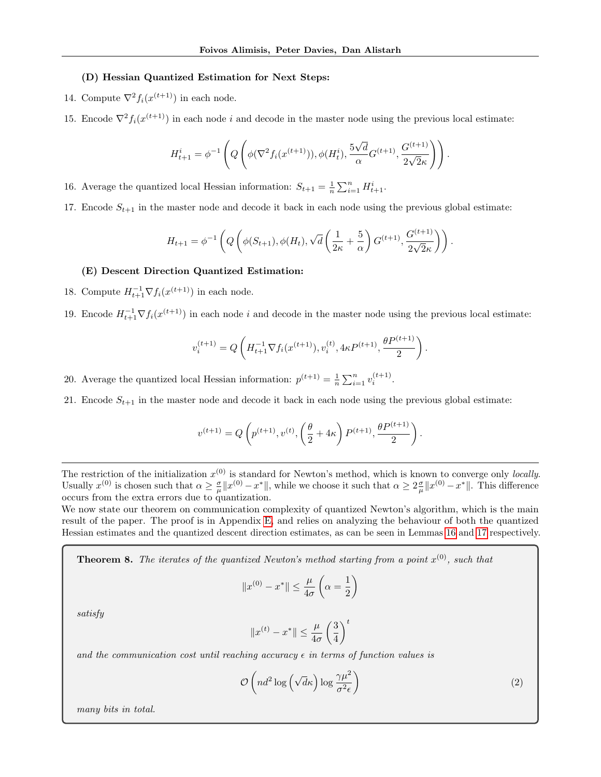#### (D) Hessian Quantized Estimation for Next Steps:

- 14. Compute  $\nabla^2 f_i(x^{(t+1)})$  in each node.
- 15. Encode  $\nabla^2 f_i(x^{(t+1)})$  in each node *i* and decode in the master node using the previous local estimate:

$$
H_{t+1}^{i} = \phi^{-1}\left(Q\left(\phi(\nabla^{2} f_{i}(x^{(t+1)})), \phi(H_{t}^{i}), \frac{5\sqrt{d}}{\alpha}G^{(t+1)}, \frac{G^{(t+1)}}{2\sqrt{2}\kappa}\right)\right).
$$

16. Average the quantized local Hessian information:  $S_{t+1} = \frac{1}{n} \sum_{i=1}^{n} H_{t+1}^i$ .

17. Encode  $S_{t+1}$  in the master node and decode it back in each node using the previous global estimate:

$$
H_{t+1} = \phi^{-1}\left(Q\left(\phi(S_{t+1}), \phi(H_t), \sqrt{d}\left(\frac{1}{2\kappa} + \frac{5}{\alpha}\right)G^{(t+1)}, \frac{G^{(t+1)}}{2\sqrt{2}\kappa}\right)\right).
$$

#### (E) Descent Direction Quantized Estimation:

- 18. Compute  $H_{t+1}^{-1} \nabla f_i(x^{(t+1)})$  in each node.
- 19. Encode  $H_{t+1}^{-1} \nabla f_i(x^{(t+1)})$  in each node i and decode in the master node using the previous local estimate:

$$
v_i^{(t+1)} = Q\left(H_{t+1}^{-1} \nabla f_i(x^{(t+1)}), v_i^{(t)}, 4\kappa P^{(t+1)}, \frac{\theta P^{(t+1)}}{2}\right).
$$

20. Average the quantized local Hessian information:  $p^{(t+1)} = \frac{1}{n} \sum_{i=1}^{n} v_i^{(t+1)}$ .

21. Encode  $S_{t+1}$  in the master node and decode it back in each node using the previous global estimate:

$$
v^{(t+1)} = Q\left(p^{(t+1)}, v^{(t)}, \left(\frac{\theta}{2} + 4\kappa\right) P^{(t+1)}, \frac{\theta P^{(t+1)}}{2}\right).
$$

The restriction of the initialization  $x^{(0)}$  is standard for Newton's method, which is known to converge only *locally*. Usually  $x^{(0)}$  is chosen such that  $\alpha \geq \frac{\sigma}{\mu} \|x^{(0)} - x^*\|$ , while we choose it such that  $\alpha \geq 2\frac{\sigma}{\mu} \|x^{(0)} - x^*\|$ . This difference occurs from the extra errors due to quantization.

We now state our theorem on communication complexity of quantized Newton's algorithm, which is the main result of the paper. The proof is in Appendix [E,](#page-24-0) and relies on analyzing the behaviour of both the quantized Hessian estimates and the quantized descent direction estimates, as can be seen in Lemmas [16](#page-25-0) and [17](#page-27-0) respectively.

**Theorem 8.** The iterates of the quantized Newton's method starting from a point  $x^{(0)}$ , such that

$$
||x^{(0)} - x^*|| \le \frac{\mu}{4\sigma} \left(\alpha = \frac{1}{2}\right)
$$

satisfy

$$
||x^{(t)} - x^*|| \le \frac{\mu}{4\sigma} \left(\frac{3}{4}\right)^t
$$

and the communication cost until reaching accuracy  $\epsilon$  in terms of function values is

<span id="page-9-0"></span>
$$
\mathcal{O}\left(nd^2\log\left(\sqrt{d}\kappa\right)\log\frac{\gamma\mu^2}{\sigma^2\epsilon}\right) \tag{2}
$$

many bits in total.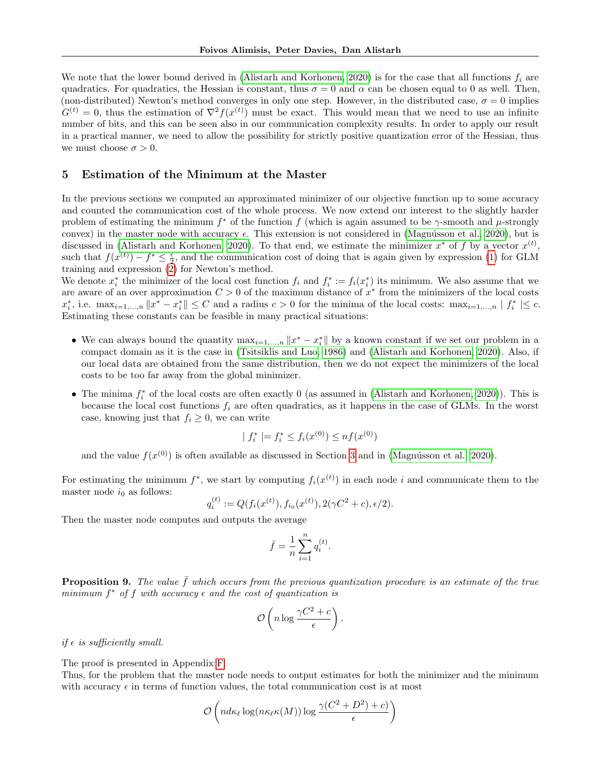We note that the lower bound derived in [\(Alistarh and Korhonen, 2020\)](#page-14-7) is for the case that all functions  $f_i$  are quadratics. For quadratics, the Hessian is constant, thus  $\sigma = 0$  and  $\alpha$  can be chosen equal to 0 as well. Then, (non-distributed) Newton's method converges in only one step. However, in the distributed case,  $\sigma = 0$  implies  $G^{(t)} = 0$ , thus the estimation of  $\nabla^2 f(x^{(t)})$  must be exact. This would mean that we need to use an infinite number of bits, and this can be seen also in our communication complexity results. In order to apply our result in a practical manner, we need to allow the possibility for strictly positive quantization error of the Hessian, thus we must choose  $\sigma > 0$ .

## 5 Estimation of the Minimum at the Master

In the previous sections we computed an approximated minimizer of our objective function up to some accuracy and counted the communication cost of the whole process. We now extend our interest to the slightly harder problem of estimating the minimum  $f^*$  of the function f (which is again assumed to be  $\gamma$ -smooth and  $\mu$ -strongly convex) in the master node with accuracy  $\epsilon$ . This extension is not considered in (Magnússon et al., 2020), but is discussed in [\(Alistarh and Korhonen, 2020\)](#page-14-7). To that end, we estimate the minimizer  $x^*$  of f by a vector  $x^{(t)}$ , such that  $f(x^{(t)}) - f^* \leq \frac{\epsilon}{2}$ , and the communication cost of doing that is again given by expression [\(1\)](#page-7-2) for GLM training and expression  $(2)$  for Newton's method.

We denote  $x_i^*$  the minimizer of the local cost function  $f_i$  and  $f_i^* := f_i(x_i^*)$  its minimum. We also assume that we are aware of an over approximation  $C > 0$  of the maximum distance of  $x^*$  from the minimizers of the local costs  $x_i^*$ , i.e.  $\max_{i=1,\dots,n} \|x^* - x_i^*\| \leq C$  and a radius  $c > 0$  for the minima of the local costs:  $\max_{i=1,\dots,n} |f_i^*| \leq c$ . Estimating these constants can be feasible in many practical situations:

- We can always bound the quantity  $\max_{i=1,\dots,n} ||x^* x^*||$  by a known constant if we set our problem in a compact domain as it is the case in [\(Tsitsiklis and Luo, 1986\)](#page-15-0) and [\(Alistarh and Korhonen, 2020\)](#page-14-7). Also, if our local data are obtained from the same distribution, then we do not expect the minimizers of the local costs to be too far away from the global minimizer.
- The minima  $f_i^*$  of the local costs are often exactly 0 (as assumed in [\(Alistarh and Korhonen, 2020\)](#page-14-7)). This is because the local cost functions  $f_i$  are often quadratics, as it happens in the case of GLMs. In the worst case, knowing just that  $f_i \geq 0$ , we can write

$$
| f_i^* | = f_i^* \le f_i(x^{(0)}) \le nf(x^{(0)})
$$

and the value  $f(x^{(0)})$  is often available as discussed in Section [3](#page-4-0) and in (Magnússon et al., 2020).

For estimating the minimum  $f^*$ , we start by computing  $f_i(x^{(t)})$  in each node i and communicate them to the master node  $i_0$  as follows:

$$
q_i^{(t)} := Q(f_i(x^{(t)}), f_{i_0}(x^{(t)}), 2(\gamma C^2 + c), \epsilon/2).
$$

Then the master node computes and outputs the average

$$
\bar{f} = \frac{1}{n} \sum_{i=1}^n q_i^{(t)}.
$$

**Proposition 9.** The value  $\bar{f}$  which occurs from the previous quantization procedure is an estimate of the true minimum  $f^*$  of f with accuracy  $\epsilon$  and the cost of quantization is

$$
\mathcal{O}\left(n\log\frac{\gamma C^2+c}{\epsilon}\right).
$$

if  $\epsilon$  is sufficiently small.

The proof is presented in Appendix [F.](#page-30-0)

Thus, for the problem that the master node needs to output estimates for both the minimizer and the minimum with accuracy  $\epsilon$  in terms of function values, the total communication cost is at most

$$
\mathcal{O}\left(nd\kappa_{\ell}\log(n\kappa_{\ell}\kappa(M))\log\frac{\gamma(C^2+D^2)+c)}{\epsilon}\right)
$$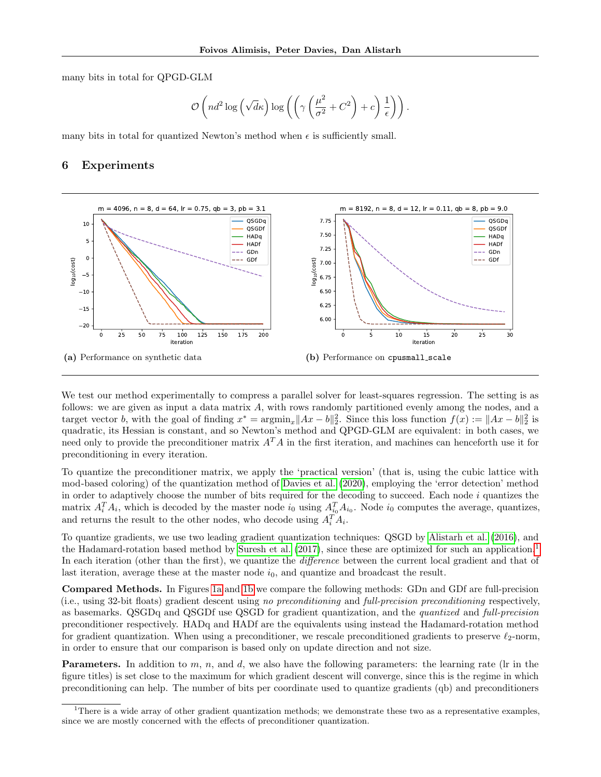many bits in total for QPGD-GLM

$$
\mathcal{O}\left(nd^2\log\left(\sqrt{d}\kappa\right)\log\left(\left(\gamma\left(\frac{\mu^2}{\sigma^2}+C^2\right)+c\right)\frac{1}{\epsilon}\right)\right).
$$

many bits in total for quantized Newton's method when  $\epsilon$  is sufficiently small.

#### 6 Experiments



<span id="page-11-2"></span><span id="page-11-1"></span>We test our method experimentally to compress a parallel solver for least-squares regression. The setting is as follows: we are given as input a data matrix A, with rows randomly partitioned evenly among the nodes, and a target vector b, with the goal of finding  $x^* = \operatorname{argmin}_x ||Ax - b||_2^2$ . Since this loss function  $f(x) := ||Ax - b||_2^2$  is quadratic, its Hessian is constant, and so Newton's method and QPGD-GLM are equivalent: in both cases, we need only to provide the preconditioner matrix  $A^T A$  in the first iteration, and machines can henceforth use it for preconditioning in every iteration.

To quantize the preconditioner matrix, we apply the 'practical version' (that is, using the cubic lattice with mod-based coloring) of the quantization method of [Davies et al.](#page-14-16) [\(2020\)](#page-14-16), employing the 'error detection' method in order to adaptively choose the number of bits required for the decoding to succeed. Each node  $i$  quantizes the matrix  $A_i^T A_i$ , which is decoded by the master node  $i_0$  using  $A_{i_0}^T A_{i_0}$ . Node  $i_0$  computes the average, quantizes, and returns the result to the other nodes, who decode using  $A_i^T A_i$ .

To quantize gradients, we use two leading gradient quantization techniques: QSGD by [Alistarh et al.](#page-14-2) [\(2016\)](#page-14-2), and the Hadamard-rotation based method by [Suresh et al.](#page-15-4) [\(2017\)](#page-15-4), since these are optimized for such an application.<sup>[1](#page-11-0)</sup> In each iteration (other than the first), we quantize the *difference* between the current local gradient and that of last iteration, average these at the master node  $i_0$ , and quantize and broadcast the result.

Compared Methods. In Figures [1a](#page-11-1) and [1b](#page-11-2) we compare the following methods: GDn and GDf are full-precision (i.e., using 32-bit floats) gradient descent using no preconditioning and full-precision preconditioning respectively, as basemarks. QSGDq and QSGDf use QSGD for gradient quantization, and the quantized and full-precision preconditioner respectively. HADq and HADf are the equivalents using instead the Hadamard-rotation method for gradient quantization. When using a preconditioner, we rescale preconditioned gradients to preserve  $\ell_2$ -norm, in order to ensure that our comparison is based only on update direction and not size.

**Parameters.** In addition to m, n, and d, we also have the following parameters: the learning rate (lr in the figure titles) is set close to the maximum for which gradient descent will converge, since this is the regime in which preconditioning can help. The number of bits per coordinate used to quantize gradients (qb) and preconditioners

<span id="page-11-0"></span><sup>&</sup>lt;sup>1</sup>There is a wide array of other gradient quantization methods; we demonstrate these two as a representative examples, since we are mostly concerned with the effects of preconditioner quantization.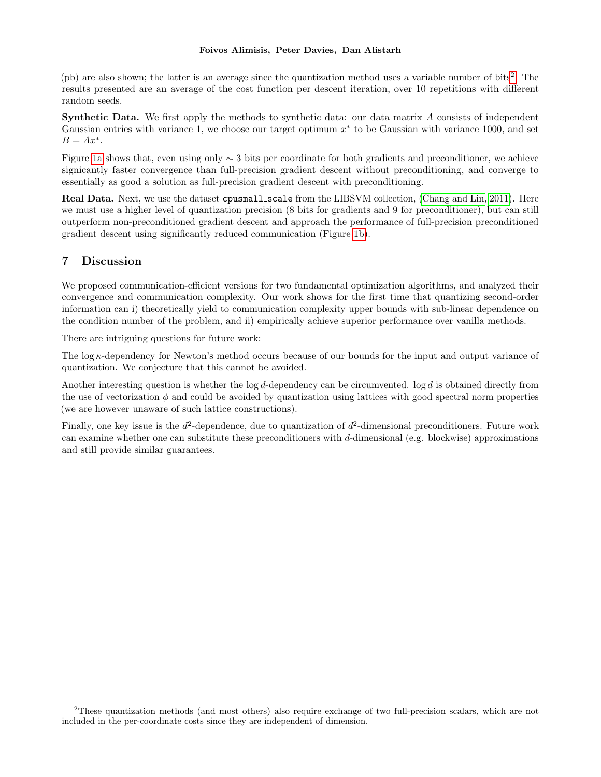(pb) are also shown; the latter is an average since the quantization method uses a variable number of bits<sup>[2](#page-12-0)</sup>. The results presented are an average of the cost function per descent iteration, over 10 repetitions with different random seeds.

Synthetic Data. We first apply the methods to synthetic data: our data matrix A consists of independent Gaussian entries with variance 1, we choose our target optimum  $x^*$  to be Gaussian with variance 1000, and set  $B = Ax^*$ .

Figure [1a](#page-11-1) shows that, even using only ∼ 3 bits per coordinate for both gradients and preconditioner, we achieve signicantly faster convergence than full-precision gradient descent without preconditioning, and converge to essentially as good a solution as full-precision gradient descent with preconditioning.

Real Data. Next, we use the dataset cpusmall\_scale from the LIBSVM collection, [\(Chang and Lin, 2011\)](#page-14-17). Here we must use a higher level of quantization precision (8 bits for gradients and 9 for preconditioner), but can still outperform non-preconditioned gradient descent and approach the performance of full-precision preconditioned gradient descent using significantly reduced communication (Figure [1b\)](#page-11-2).

# 7 Discussion

We proposed communication-efficient versions for two fundamental optimization algorithms, and analyzed their convergence and communication complexity. Our work shows for the first time that quantizing second-order information can i) theoretically yield to communication complexity upper bounds with sub-linear dependence on the condition number of the problem, and ii) empirically achieve superior performance over vanilla methods.

There are intriguing questions for future work:

The  $\log \kappa$ -dependency for Newton's method occurs because of our bounds for the input and output variance of quantization. We conjecture that this cannot be avoided.

Another interesting question is whether the  $\log d$ -dependency can be circumvented.  $\log d$  is obtained directly from the use of vectorization  $\phi$  and could be avoided by quantization using lattices with good spectral norm properties (we are however unaware of such lattice constructions).

Finally, one key issue is the  $d^2$ -dependence, due to quantization of  $d^2$ -dimensional preconditioners. Future work can examine whether one can substitute these preconditioners with d-dimensional (e.g. blockwise) approximations and still provide similar guarantees.

<span id="page-12-0"></span><sup>2</sup>These quantization methods (and most others) also require exchange of two full-precision scalars, which are not included in the per-coordinate costs since they are independent of dimension.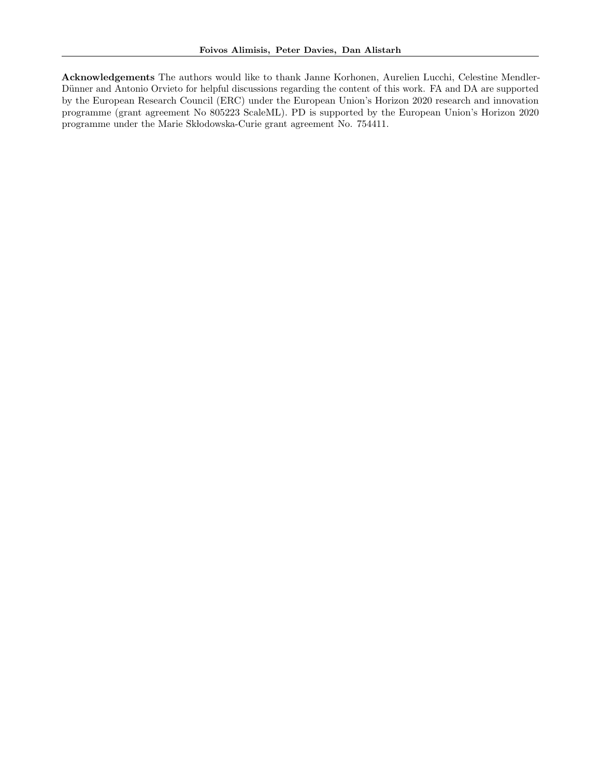Acknowledgements The authors would like to thank Janne Korhonen, Aurelien Lucchi, Celestine Mendler-Dünner and Antonio Orvieto for helpful discussions regarding the content of this work. FA and DA are supported by the European Research Council (ERC) under the European Union's Horizon 2020 research and innovation programme (grant agreement No 805223 ScaleML). PD is supported by the European Union's Horizon 2020 programme under the Marie Skłodowska-Curie grant agreement No. 754411.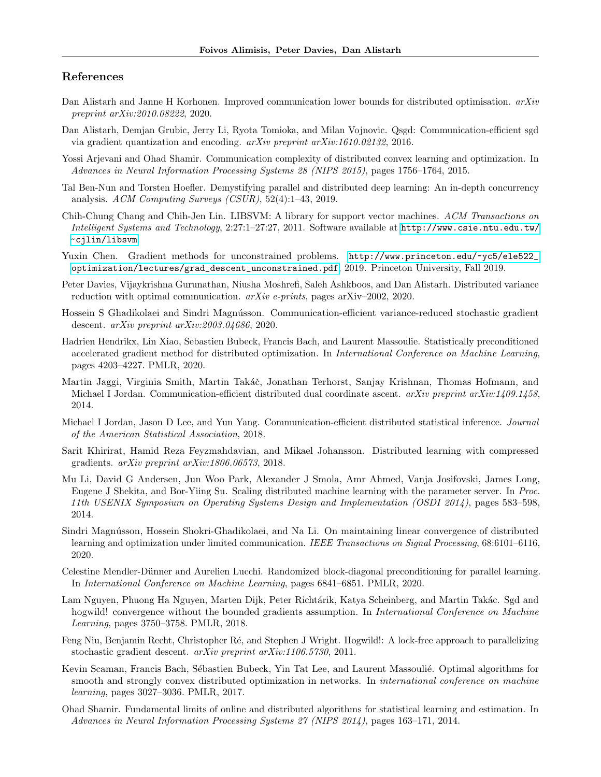# References

- <span id="page-14-7"></span>Dan Alistarh and Janne H Korhonen. Improved communication lower bounds for distributed optimisation.  $arXiv$ preprint arXiv:2010.08222, 2020.
- <span id="page-14-2"></span>Dan Alistarh, Demjan Grubic, Jerry Li, Ryota Tomioka, and Milan Vojnovic. Qsgd: Communication-efficient sgd via gradient quantization and encoding.  $arXiv$  preprint  $arXiv:1610.02132$ , 2016.
- <span id="page-14-13"></span>Yossi Arjevani and Ohad Shamir. Communication complexity of distributed convex learning and optimization. In Advances in Neural Information Processing Systems 28 (NIPS 2015), pages 1756–1764, 2015.
- <span id="page-14-4"></span>Tal Ben-Nun and Torsten Hoefler. Demystifying parallel and distributed deep learning: An in-depth concurrency analysis. ACM Computing Surveys (CSUR), 52(4):1–43, 2019.
- <span id="page-14-17"></span>Chih-Chung Chang and Chih-Jen Lin. LIBSVM: A library for support vector machines. ACM Transactions on Intelligent Systems and Technology, 2:27:1–27:27, 2011. Software available at [http://www.csie.ntu.edu.tw/](http://www.csie.ntu.edu.tw/~cjlin/libsvm) [~cjlin/libsvm](http://www.csie.ntu.edu.tw/~cjlin/libsvm).
- <span id="page-14-18"></span>Yuxin Chen. Gradient methods for unconstrained problems. [http://www.princeton.edu/~yc5/ele522\\_](http://www.princeton.edu/~yc5/ele522_optimization/lectures/grad_descent_unconstrained.pdf) [optimization/lectures/grad\\_descent\\_unconstrained.pdf](http://www.princeton.edu/~yc5/ele522_optimization/lectures/grad_descent_unconstrained.pdf), 2019. Princeton University, Fall 2019.
- <span id="page-14-16"></span>Peter Davies, Vijaykrishna Gurunathan, Niusha Moshrefi, Saleh Ashkboos, and Dan Alistarh. Distributed variance reduction with optimal communication.  $arXiv$  e-prints, pages arXiv–2002, 2020.
- <span id="page-14-12"></span>Hossein S Ghadikolaei and Sindri Magnússon. Communication-efficient variance-reduced stochastic gradient descent. arXiv preprint arXiv:2003.04686, 2020.
- <span id="page-14-11"></span>Hadrien Hendrikx, Lin Xiao, Sebastien Bubeck, Francis Bach, and Laurent Massoulie. Statistically preconditioned accelerated gradient method for distributed optimization. In International Conference on Machine Learning, pages 4203–4227. PMLR, 2020.
- <span id="page-14-1"></span>Martin Jaggi, Virginia Smith, Martin Takáč, Jonathan Terhorst, Sanjay Krishnan, Thomas Hofmann, and Michael I Jordan. Communication-efficient distributed dual coordinate ascent. arXiv preprint arXiv:1409.1458, 2014.
- <span id="page-14-9"></span>Michael I Jordan, Jason D Lee, and Yun Yang. Communication-efficient distributed statistical inference. Journal of the American Statistical Association, 2018.
- <span id="page-14-5"></span>Sarit Khirirat, Hamid Reza Feyzmahdavian, and Mikael Johansson. Distributed learning with compressed gradients. arXiv preprint arXiv:1806.06573, 2018.
- <span id="page-14-15"></span>Mu Li, David G Andersen, Jun Woo Park, Alexander J Smola, Amr Ahmed, Vanja Josifovski, James Long, Eugene J Shekita, and Bor-Yiing Su. Scaling distributed machine learning with the parameter server. In Proc. 11th USENIX Symposium on Operating Systems Design and Implementation (OSDI 2014), pages 583–598, 2014.
- <span id="page-14-6"></span>Sindri Magnússon, Hossein Shokri-Ghadikolaei, and Na Li. On maintaining linear convergence of distributed learning and optimization under limited communication. IEEE Transactions on Signal Processing, 68:6101–6116, 2020.
- <span id="page-14-10"></span>Celestine Mendler-D¨unner and Aurelien Lucchi. Randomized block-diagonal preconditioning for parallel learning. In International Conference on Machine Learning, pages 6841–6851. PMLR, 2020.
- <span id="page-14-3"></span>Lam Nguyen, Phuong Ha Nguyen, Marten Dijk, Peter Richtárik, Katya Scheinberg, and Martin Takác. Sgd and hogwild! convergence without the bounded gradients assumption. In *International Conference on Machine* Learning, pages 3750–3758. PMLR, 2018.
- <span id="page-14-0"></span>Feng Niu, Benjamin Recht, Christopher Ré, and Stephen J Wright. Hogwild!: A lock-free approach to parallelizing stochastic gradient descent. arXiv preprint arXiv:1106.5730, 2011.
- <span id="page-14-8"></span>Kevin Scaman, Francis Bach, Sébastien Bubeck, Yin Tat Lee, and Laurent Massoulié. Optimal algorithms for smooth and strongly convex distributed optimization in networks. In *international conference on machine* learning, pages 3027–3036. PMLR, 2017.
- <span id="page-14-14"></span>Ohad Shamir. Fundamental limits of online and distributed algorithms for statistical learning and estimation. In Advances in Neural Information Processing Systems 27 (NIPS 2014), pages 163–171, 2014.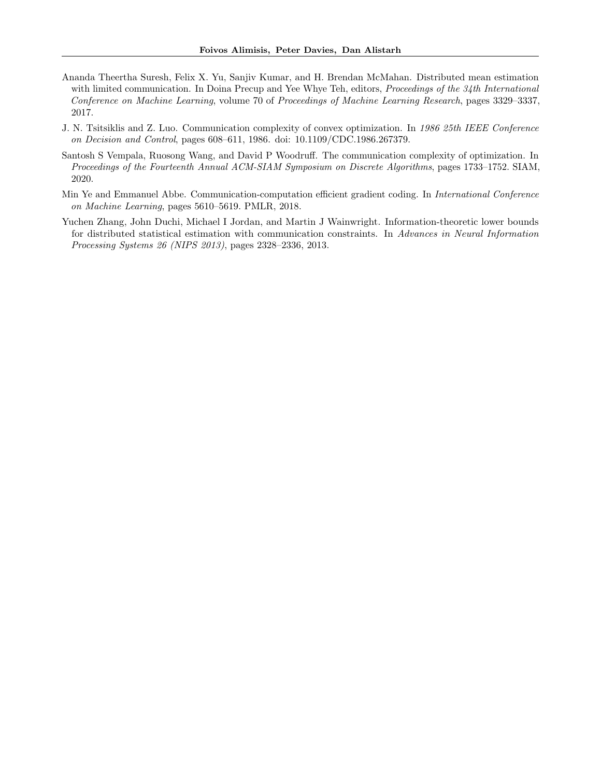- <span id="page-15-4"></span>Ananda Theertha Suresh, Felix X. Yu, Sanjiv Kumar, and H. Brendan McMahan. Distributed mean estimation with limited communication. In Doina Precup and Yee Whye Teh, editors, *Proceedings of the 34th International* Conference on Machine Learning, volume 70 of Proceedings of Machine Learning Research, pages 3329–3337, 2017.
- <span id="page-15-0"></span>J. N. Tsitsiklis and Z. Luo. Communication complexity of convex optimization. In 1986 25th IEEE Conference on Decision and Control, pages 608–611, 1986. doi: 10.1109/CDC.1986.267379.
- <span id="page-15-2"></span>Santosh S Vempala, Ruosong Wang, and David P Woodruff. The communication complexity of optimization. In Proceedings of the Fourteenth Annual ACM-SIAM Symposium on Discrete Algorithms, pages 1733–1752. SIAM, 2020.
- <span id="page-15-1"></span>Min Ye and Emmanuel Abbe. Communication-computation efficient gradient coding. In International Conference on Machine Learning, pages 5610–5619. PMLR, 2018.
- <span id="page-15-3"></span>Yuchen Zhang, John Duchi, Michael I Jordan, and Martin J Wainwright. Information-theoretic lower bounds for distributed statistical estimation with communication constraints. In Advances in Neural Information Processing Systems 26 (NIPS 2013), pages 2328–2336, 2013.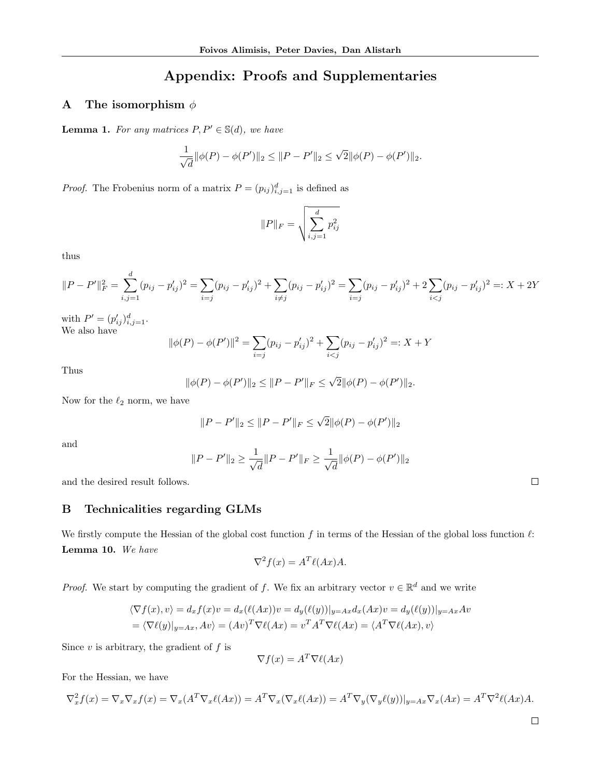# Appendix: Proofs and Supplementaries

# <span id="page-16-0"></span>A The isomorphism  $\phi$

**Lemma 1.** For any matrices  $P, P' \in \mathbb{S}(d)$ , we have

$$
\frac{1}{\sqrt{d}}||\phi(P) - \phi(P')||_2 \le ||P - P'||_2 \le \sqrt{2}||\phi(P) - \phi(P')||_2.
$$

*Proof.* The Frobenius norm of a matrix  $P = (p_{ij})_{i,j=1}^d$  is defined as

$$
||P||_F = \sqrt{\sum_{i,j=1}^d p_{ij}^2}
$$

thus

$$
||P - P'||_F^2 = \sum_{i,j=1}^d (p_{ij} - p'_{ij})^2 = \sum_{i=j} (p_{ij} - p'_{ij})^2 + \sum_{i \neq j} (p_{ij} - p'_{ij})^2 = \sum_{i=j} (p_{ij} - p'_{ij})^2 + 2\sum_{i < j} (p_{ij} - p'_{ij})^2 =: X + 2Y
$$

with  $P' = (p'_{ij})_{i,j=1}^d$ . We also have

$$
\|\phi(P) - \phi(P')\|^2 = \sum_{i=j} (p_{ij} - p'_{ij})^2 + \sum_{i < j} (p_{ij} - p'_{ij})^2 =: X + Y
$$

Thus

$$
\|\phi(P) - \phi(P')\|_2 \le \|P - P'\|_F \le \sqrt{2} \|\phi(P) - \phi(P')\|_2.
$$

Now for the  $\ell_2$  norm, we have

$$
||P - P'||_2 \le ||P - P'||_F \le \sqrt{2} ||\phi(P) - \phi(P')||_2
$$

and

$$
||P - P'||_2 \ge \frac{1}{\sqrt{d}} ||P - P'||_F \ge \frac{1}{\sqrt{d}} ||\phi(P) - \phi(P')||_2
$$

and the desired result follows.

# <span id="page-16-1"></span>B Technicalities regarding GLMs

We firstly compute the Hessian of the global cost function  $f$  in terms of the Hessian of the global loss function  $\ell$ : Lemma 10. We have

$$
\nabla^2 f(x) = A^T \ell(Ax) A.
$$

*Proof.* We start by computing the gradient of f. We fix an arbitrary vector  $v \in \mathbb{R}^d$  and we write

$$
\langle \nabla f(x), v \rangle = d_x f(x)v = d_x(\ell(Ax))v = d_y(\ell(y))|_{y = Ax} d_x(Ax)v = d_y(\ell(y))|_{y = Ax} Av
$$
  
= 
$$
\langle \nabla \ell(y)|_{y = Ax}, Av \rangle = (Av)^T \nabla \ell(Ax) = v^T A^T \nabla \ell(Ax) = \langle A^T \nabla \ell(Ax), v \rangle
$$

Since  $v$  is arbitrary, the gradient of  $f$  is

$$
\nabla f(x) = A^T \nabla \ell(Ax)
$$

For the Hessian, we have

$$
\nabla_x^2 f(x) = \nabla_x \nabla_x f(x) = \nabla_x (A^T \nabla_x \ell(Ax)) = A^T \nabla_x (\nabla_x \ell(Ax)) = A^T \nabla_y (\nabla_y \ell(y))|_{y = Ax} \nabla_x (Ax) = A^T \nabla^2 \ell(Ax) A.
$$

 $\Box$ 

 $\Box$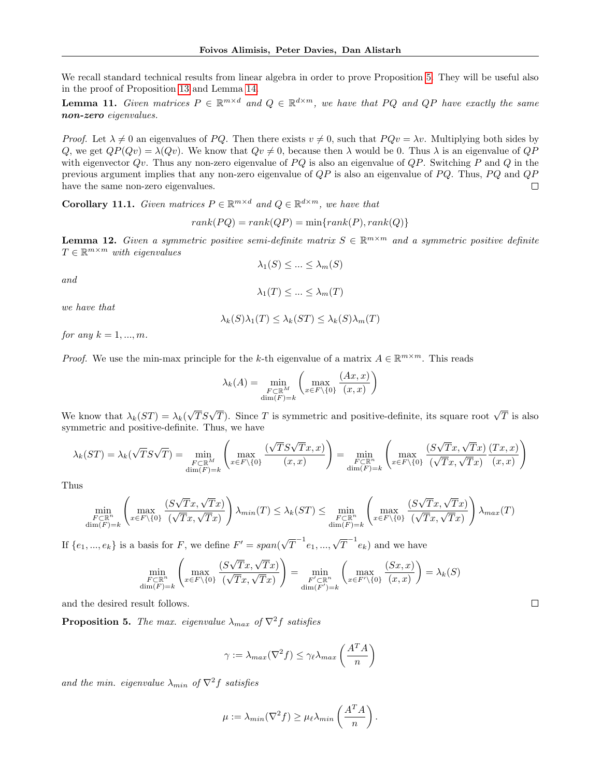We recall standard technical results from linear algebra in order to prove Proposition [5.](#page-4-1) They will be useful also in the proof of Proposition [13](#page-18-1) and Lemma [14.](#page-19-1)

<span id="page-17-0"></span>**Lemma 11.** Given matrices  $P \in \mathbb{R}^{m \times d}$  and  $Q \in \mathbb{R}^{d \times m}$ , we have that PQ and QP have exactly the same non-zero eigenvalues.

*Proof.* Let  $\lambda \neq 0$  an eigenvalues of PQ. Then there exists  $v \neq 0$ , such that  $PQv = \lambda v$ . Multiplying both sides by Q, we get  $QP(Qv) = \lambda(Qv)$ . We know that  $Qv \neq 0$ , because then  $\lambda$  would be 0. Thus  $\lambda$  is an eigenvalue of  $QP$ with eigenvector  $Qv$ . Thus any non-zero eigenvalue of  $PQ$  is also an eigenvalue of  $QP$ . Switching P and Q in the previous argument implies that any non-zero eigenvalue of  $QP$  is also an eigenvalue of  $PQ$ . Thus,  $PQ$  and  $QP$ have the same non-zero eigenvalues.  $\Box$ 

<span id="page-17-1"></span>**Corollary 11.1.** Given matrices  $P \in \mathbb{R}^{m \times d}$  and  $Q \in \mathbb{R}^{d \times m}$ , we have that

$$
rank(PQ) = rank(QP) = min\{rank(P), rank(Q)\}\
$$

<span id="page-17-2"></span>**Lemma 12.** Given a symmetric positive semi-definite matrix  $S \in \mathbb{R}^{m \times m}$  and a symmetric positive definite  $T \in \mathbb{R}^{m \times m}$  with eigenvalues  $\lambda_1(S) \leq ... \leq \lambda_m(S)$ 

$$
and
$$

$$
\lambda_1(T) \le \dots \le \lambda_m(T)
$$

we have that

$$
\lambda_k(S)\lambda_1(T) \le \lambda_k(ST) \le \lambda_k(S)\lambda_m(T)
$$

for any  $k = 1, ..., m$ .

*Proof.* We use the min-max principle for the k-th eigenvalue of a matrix  $A \in \mathbb{R}^{m \times m}$ . This reads

$$
\lambda_k(A) = \min_{\substack{F \subset \mathbb{R}^M \\ \dim(F) = k}} \left( \max_{x \in F \setminus \{0\}} \frac{(Ax, x)}{(x, x)} \right)
$$

We know that  $\lambda_k(ST) = \lambda_k(Q)$  $\sqrt{T}S\sqrt{T}$ ). Since T is symmetric and positive-definite, its square root  $\sqrt{T}$  is also symmetric and positive-definite. Thus, we have

$$
\lambda_k(ST) = \lambda_k(\sqrt{T}S\sqrt{T}) = \min_{\substack{F \subset \mathbb{R}^M \\ \dim(F) = k}} \left( \max_{x \in F \backslash \{0\}} \frac{(\sqrt{T}S\sqrt{T}x, x)}{(x, x)} \right) = \min_{\substack{F \subset \mathbb{R}^n \\ \dim(F) = k}} \left( \max_{x \in F \backslash \{0\}} \frac{(S\sqrt{T}x, \sqrt{T}x)}{(\sqrt{T}x, \sqrt{T}x)} \frac{(Tx, x)}{(x, x)} \right)
$$

Thus

$$
\min_{\substack{F \subset \mathbb{R}^n \\ \dim(F) = k}} \left( \max_{x \in F \setminus \{0\}} \frac{(S\sqrt{T}x, \sqrt{T}x)}{(\sqrt{T}x, \sqrt{T}x)} \right) \lambda_{min}(T) \le \lambda_k(ST) \le \min_{\substack{F \subset \mathbb{R}^n \\ \dim(F) = k}} \left( \max_{x \in F \setminus \{0\}} \frac{(S\sqrt{T}x, \sqrt{T}x)}{(\sqrt{T}x, \sqrt{T}x)} \right) \lambda_{max}(T)
$$

If  $\{e_1, ..., e_k\}$  is a basis for F, we define  $F' = span(\sqrt{\}$  $\overline{T}^{-1}e_1, ..., \sqrt{T}^{-1}e_k)$  and we have √

$$
\min_{\substack{F \subset \mathbb{R}^n \\ \dim(F) = k}} \left( \max_{x \in F \backslash \{0\}} \frac{(S\sqrt{T}x, \sqrt{T}x)}{(\sqrt{T}x, \sqrt{T}x)} \right) = \min_{\substack{F' \subset \mathbb{R}^n \\ \dim(F') = k}} \left( \max_{x \in F' \backslash \{0\}} \frac{(Sx, x)}{(x, x)} \right) = \lambda_k(S)
$$

and the desired result follows.

**Proposition 5.** The max. eigenvalue  $\lambda_{max}$  of  $\nabla^2 f$  satisfies

$$
\gamma := \lambda_{max}(\nabla^2 f) \le \gamma_\ell \lambda_{max}\left(\frac{A^T A}{n}\right)
$$

and the min. eigenvalue  $\lambda_{min}$  of  $\nabla^2 f$  satisfies

$$
\mu := \lambda_{min}(\nabla^2 f) \ge \mu_{\ell} \lambda_{min}\left(\frac{A^T A}{n}\right).
$$

 $\Box$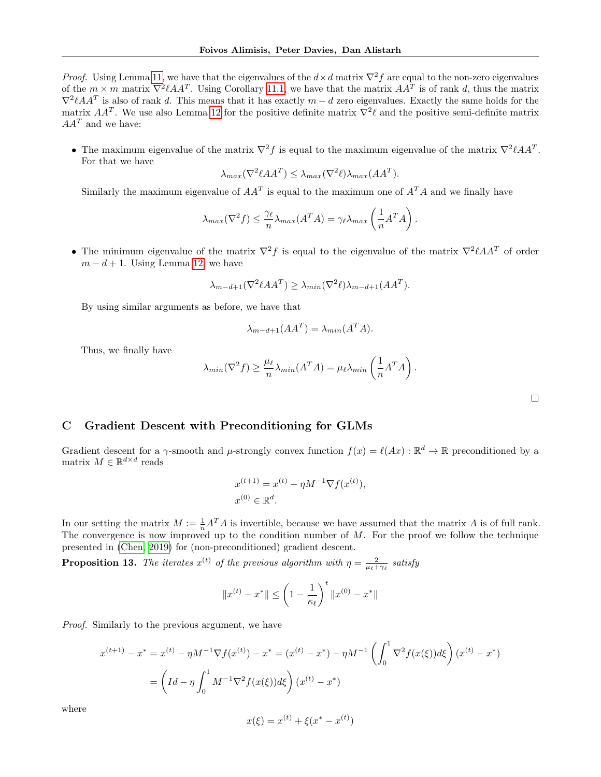*Proof.* Using Lemma [11,](#page-17-0) we have that the eigenvalues of the  $d \times d$  matrix  $\nabla^2 f$  are equal to the non-zero eigenvalues of the  $m \times m$  matrix  $\nabla^2 \ell A A^T$ . Using Corollary [11.1,](#page-17-1) we have that the matrix  $A A^T$  is of rank d, thus the matrix  $\nabla^2 \ell A A^T$  is also of rank d. This means that it has exactly  $m-d$  zero eigenvalues. Exactly the same holds for the matrix  $AA^T$ . We use also Lemma [12](#page-17-2) for the positive definite matrix  $\nabla^2 \ell$  and the positive semi-definite matrix  $AA<sup>T</sup>$  and we have:

• The maximum eigenvalue of the matrix  $\nabla^2 f$  is equal to the maximum eigenvalue of the matrix  $\nabla^2 \ell A A^T$ . For that we have

$$
\lambda_{max}(\nabla^2 \ell A A^T) \le \lambda_{max}(\nabla^2 \ell) \lambda_{max}(A A^T).
$$

Similarly the maximum eigenvalue of  $AA<sup>T</sup>$  is equal to the maximum one of  $A<sup>T</sup>A$  and we finally have

$$
\lambda_{max}(\nabla^2 f) \leq \frac{\gamma_{\ell}}{n} \lambda_{max}(A^T A) = \gamma_{\ell} \lambda_{max}\left(\frac{1}{n} A^T A\right).
$$

• The minimum eigenvalue of the matrix  $\nabla^2 f$  is equal to the eigenvalue of the matrix  $\nabla^2 \ell A A^T$  of order  $m - d + 1$ . Using Lemma [12,](#page-17-2) we have

$$
\lambda_{m-d+1}(\nabla^2 \ell A A^T) \ge \lambda_{min}(\nabla^2 \ell) \lambda_{m-d+1}(A A^T).
$$

By using similar arguments as before, we have that

$$
\lambda_{m-d+1}(AA^T) = \lambda_{min}(A^T A).
$$

Thus, we finally have

$$
\lambda_{min}(\nabla^2 f) \ge \frac{\mu_\ell}{n} \lambda_{min}(A^T A) = \mu_\ell \lambda_{min}\left(\frac{1}{n} A^T A\right).
$$

 $\Box$ 

# <span id="page-18-0"></span>C Gradient Descent with Preconditioning for GLMs

Gradient descent for a  $\gamma$ -smooth and  $\mu$ -strongly convex function  $f(x) = \ell(Ax) : \mathbb{R}^d \to \mathbb{R}$  preconditioned by a matrix  $M \in \mathbb{R}^{d \times d}$  reads

$$
x^{(t+1)} = x^{(t)} - \eta M^{-1} \nabla f(x^{(t)}),
$$
  

$$
x^{(0)} \in \mathbb{R}^d.
$$

In our setting the matrix  $M := \frac{1}{n}A^T A$  is invertible, because we have assumed that the matrix A is of full rank. The convergence is now improved up to the condition number of  $M$ . For the proof we follow the technique presented in [\(Chen, 2019\)](#page-14-18) for (non-preconditioned) gradient descent.

<span id="page-18-1"></span>**Proposition 13.** The iterates  $x^{(t)}$  of the previous algorithm with  $\eta = \frac{2}{\mu_{\ell} + \gamma_{\ell}}$  satisfy

$$
||x^{(t)} - x^*|| \le \left(1 - \frac{1}{\kappa_{\ell}}\right)^t ||x^{(0)} - x^*||
$$

Proof. Similarly to the previous argument, we have

$$
x^{(t+1)} - x^* = x^{(t)} - \eta M^{-1} \nabla f(x^{(t)}) - x^* = (x^{(t)} - x^*) - \eta M^{-1} \left( \int_0^1 \nabla^2 f(x(\xi)) d\xi \right) (x^{(t)} - x^*)
$$
  
= 
$$
\left( Id - \eta \int_0^1 M^{-1} \nabla^2 f(x(\xi)) d\xi \right) (x^{(t)} - x^*)
$$

where

$$
x(\xi) = x^{(t)} + \xi(x^* - x^{(t)})
$$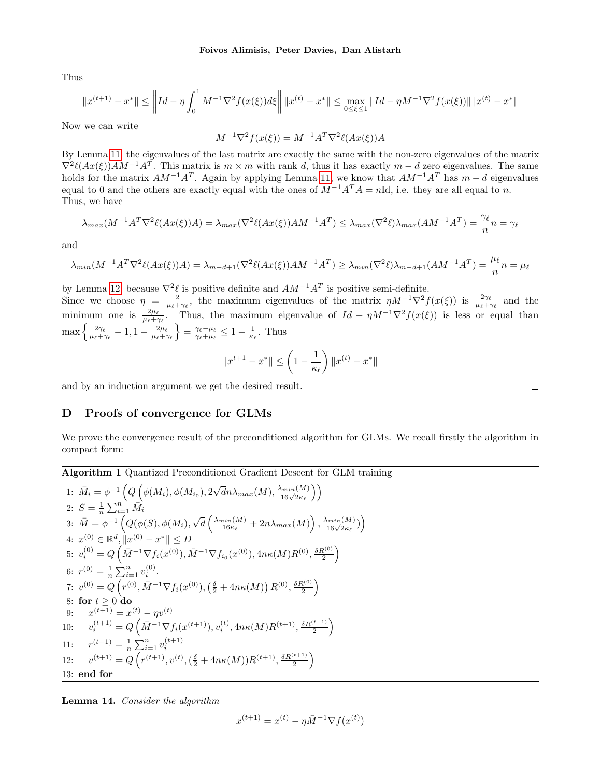Thus

$$
||x^{(t+1)} - x^*|| \le ||Id - \eta \int_0^1 M^{-1} \nabla^2 f(x(\xi)) d\xi || \, ||x^{(t)} - x^*|| \le \max_{0 \le \xi \le 1} ||Id - \eta M^{-1} \nabla^2 f(x(\xi))|| \, ||x^{(t)} - x^*||
$$

Now we can write

$$
M^{-1}\nabla^2 f(x(\xi)) = M^{-1}A^T \nabla^2 \ell(Ax(\xi))A
$$

By Lemma [11,](#page-17-0) the eigenvalues of the last matrix are exactly the same with the non-zero eigenvalues of the matrix  $\nabla^2 \ell(Ax(\xi))AM^{-1}A^T$ . This matrix is  $m \times m$  with rank d, thus it has exactly  $m - d$  zero eigenvalues. The same holds for the matrix  $AM^{-1}A^T$ . Again by applying Lemma [11,](#page-17-0) we know that  $AM^{-1}A^T$  has  $m-d$  eigenvalues equal to 0 and the others are exactly equal with the ones of  $M^{-1}A^TA = nId$ , i.e. they are all equal to n. Thus, we have

$$
\lambda_{max}(M^{-1}A^T\nabla^2\ell(Ax(\xi))A) = \lambda_{max}(\nabla^2\ell(Ax(\xi))AM^{-1}A^T) \le \lambda_{max}(\nabla^2\ell)\lambda_{max}(AM^{-1}A^T) = \frac{\gamma_\ell}{n}n = \gamma_\ell
$$

and

$$
\lambda_{min}(M^{-1}A^T\nabla^2\ell(Ax(\xi))A) = \lambda_{m-d+1}(\nabla^2\ell(Ax(\xi))AM^{-1}A^T) \ge \lambda_{min}(\nabla^2\ell)\lambda_{m-d+1}(AM^{-1}A^T) = \frac{\mu_{\ell}}{n}n = \mu_{\ell}
$$

by Lemma [12,](#page-17-2) because  $\nabla^2 \ell$  is positive definite and  $AM^{-1}A^T$  is positive semi-definite. Since we choose  $\eta = \frac{2}{\mu_{\ell} + \gamma_{\ell}}$ , the maximum eigenvalues of the matrix  $\eta M^{-1} \nabla^2 f(x(\xi))$  is  $\frac{2\gamma_{\ell}}{\mu_{\ell} + \gamma_{\ell}}$  and the minimum one is  $\frac{2\mu_{\ell}}{\mu_{\ell}+\gamma_{\ell}}$ . Thus, the maximum eigenvalue of  $Id - \eta M^{-1}\nabla^2 f(x(\xi))$  is less or equal than  $\max\left\{\frac{2\gamma_{\ell}}{\mu_{\ell}+\gamma_{\ell}}-1,1-\frac{2\mu_{\ell}}{\mu_{\ell}+\gamma_{\ell}}\right\}=\frac{\gamma_{\ell}-\mu_{\ell}}{\gamma_{\ell}+\mu_{\ell}}\leq1-\frac{1}{\kappa_{\ell}}.$  Thus

$$
||x^{t+1} - x^*|| \le \left(1 - \frac{1}{\kappa_\ell}\right) ||x^{(t)} - x^*||
$$

and by an induction argument we get the desired result.

## <span id="page-19-0"></span>D Proofs of convergence for GLMs

We prove the convergence result of the preconditioned algorithm for GLMs. We recall firstly the algorithm in compact form:

<span id="page-19-2"></span>Algorithm 1 Quantized Preconditioned Gradient Descent for GLM training  
\n1: 
$$
\bar{M}_i = \phi^{-1} \left( Q \left( \phi(M_i), \phi(M_{i_0}), 2\sqrt{d}n \lambda_{max}(M), \frac{\lambda_{min}(M)}{16\sqrt{2\kappa_{\ell}}} \right) \right)
$$
  
\n2:  $S = \frac{1}{n} \sum_{i=1}^n \bar{M}_i$   
\n3:  $\bar{M} = \phi^{-1} \left( Q(\phi(S), \phi(M_i), \sqrt{d} \left( \frac{\lambda_{min}(M)}{16\kappa_{\ell}} + 2n \lambda_{max}(M) \right), \frac{\lambda_{min}(M)}{16\sqrt{2\kappa_{\ell}}} \right) \right)$   
\n4:  $x^{(0)} \in \mathbb{R}^d$ ,  $||x^{(0)} - x^*|| \le D$   
\n5:  $v_i^{(0)} = Q \left( \bar{M}^{-1} \nabla f_i(x^{(0)}), \bar{M}^{-1} \nabla f_{i_0}(x^{(0)}), 4n\kappa(M)R^{(0)}, \frac{\delta R^{(0)}}{2} \right)$   
\n6:  $r^{(0)} = \frac{1}{n} \sum_{i=1}^n v_i^{(0)}$ .  
\n7:  $v^{(0)} = Q \left( r^{(0)}, \bar{M}^{-1} \nabla f_i(x^{(0)}), (\frac{\delta}{2} + 4n\kappa(M)) R^{(0)}, \frac{\delta R^{(0)}}{2} \right)$   
\n8: **for**  $t \ge 0$  **do**  
\n9:  $x^{(t+1)} = x^{(t)} - \eta v^{(t)}$   
\n10:  $v_i^{(t+1)} = Q \left( \bar{M}^{-1} \nabla f_i(x^{(t+1)}), v_i^{(t)}, 4n\kappa(M)R^{(t+1)}, \frac{\delta R^{(t+1)}}{2} \right)$   
\n11:  $r^{(t+1)} = \frac{1}{n} \sum_{i=1}^n v_i^{(t+1)}$   
\n12:  $v^{(t+1)} = Q \left( r^{(t+1)}, v^{(t)}, (\frac{\delta}{2} + 4n\kappa(M))R^{(t+1)}, \frac{\delta R^{(t+1)}}{2} \right)$   
\n13: **end for**

<span id="page-19-1"></span>Lemma 14. Consider the algorithm

$$
x^{(t+1)} = x^{(t)} - \eta \bar{M}^{-1} \nabla f(x^{(t)})
$$

 $\Box$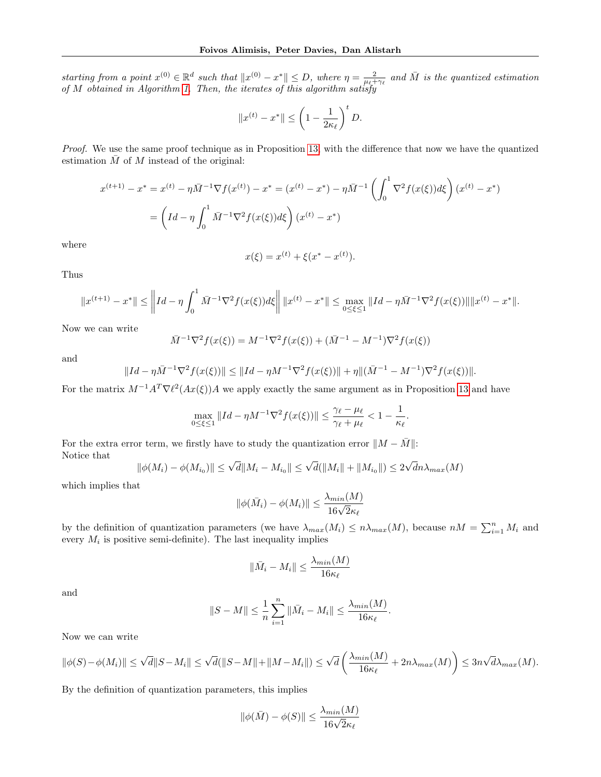starting from a point  $x^{(0)} \in \mathbb{R}^d$  such that  $||x^{(0)} - x^*|| \leq D$ , where  $\eta = \frac{2}{\mu_{\xi} + \gamma_{\ell}}$  and  $\overline{M}$  is the quantized estimation of M obtained in Algorithm [1.](#page-19-2) Then, the iterates of this algorithm satisfy

$$
||x^{(t)} - x^*|| \le \left(1 - \frac{1}{2\kappa_\ell}\right)^t D.
$$

Proof. We use the same proof technique as in Proposition [13,](#page-18-1) with the difference that now we have the quantized estimation  $\overline{M}$  of  $M$  instead of the original:

$$
x^{(t+1)} - x^* = x^{(t)} - \eta \bar{M}^{-1} \nabla f(x^{(t)}) - x^* = (x^{(t)} - x^*) - \eta \bar{M}^{-1} \left( \int_0^1 \nabla^2 f(x(\xi)) d\xi \right) (x^{(t)} - x^*)
$$
  
= 
$$
\left( Id - \eta \int_0^1 \bar{M}^{-1} \nabla^2 f(x(\xi)) d\xi \right) (x^{(t)} - x^*)
$$

where

$$
x(\xi) = x^{(t)} + \xi(x^* - x^{(t)}).
$$

Thus

$$
||x^{(t+1)} - x^*|| \le ||Id - \eta \int_0^1 \bar{M}^{-1} \nabla^2 f(x(\xi)) d\xi || ||x^{(t)} - x^*|| \le \max_{0 \le \xi \le 1} ||Id - \eta \bar{M}^{-1} \nabla^2 f(x(\xi)) || ||x^{(t)} - x^*||.
$$

Now we can write

$$
\bar{M}^{-1}\nabla^2 f(x(\xi)) = M^{-1}\nabla^2 f(x(\xi)) + (\bar{M}^{-1} - M^{-1})\nabla^2 f(x(\xi))
$$

and

$$
||Id - \eta \bar{M}^{-1} \nabla^2 f(x(\xi))|| \le ||Id - \eta M^{-1} \nabla^2 f(x(\xi))|| + \eta ||(\bar{M}^{-1} - M^{-1}) \nabla^2 f(x(\xi))||.
$$

For the matrix  $M^{-1}A^T \nabla \ell^2(Ax(\xi))A$  we apply exactly the same argument as in Proposition [13](#page-18-1) and have

$$
\max_{0 \le \xi \le 1} \|Id - \eta M^{-1} \nabla^2 f(x(\xi))\| \le \frac{\gamma_\ell - \mu_\ell}{\gamma_\ell + \mu_\ell} < 1 - \frac{1}{\kappa_\ell}.
$$

For the extra error term, we firstly have to study the quantization error  $||M - \overline{M}||$ : Notice that √

$$
\|\phi(M_i) - \phi(M_{i_0})\| \le \sqrt{d} \|M_i - M_{i_0}\| \le \sqrt{d}(\|M_i\| + \|M_{i_0}\|) \le 2\sqrt{d}n\lambda_{max}(M)
$$

which implies that

$$
\|\phi(\bar{M}_i) - \phi(M_i)\| \le \frac{\lambda_{min}(M)}{16\sqrt{2}\kappa_\ell}
$$

by the definition of quantization parameters (we have  $\lambda_{max}(M_i) \leq n \lambda_{max}(M)$ , because  $nM = \sum_{i=1}^{n} M_i$  and every  $M_i$  is positive semi-definite). The last inequality implies

$$
\|\bar{M}_i - M_i\| \le \frac{\lambda_{min}(M)}{16\kappa_\ell}
$$

and

$$
||S-M|| \leq \frac{1}{n} \sum_{i=1}^n ||\bar{M}_i - M_i|| \leq \frac{\lambda_{min}(M)}{16\kappa_\ell}.
$$

Now we can write

$$
\|\phi(S)-\phi(M_i)\|\leq \sqrt{d}\|S-M_i\|\leq \sqrt{d}(\|S-M\|+\|M-M_i\|)\leq \sqrt{d}\left(\frac{\lambda_{min}(M)}{16\kappa_{\ell}}+2n\lambda_{max}(M)\right)\leq 3n\sqrt{d}\lambda_{max}(M).
$$

By the definition of quantization parameters, this implies

$$
\|\phi(\bar{M}) - \phi(S)\| \le \frac{\lambda_{min}(M)}{16\sqrt{2}\kappa_{\ell}}
$$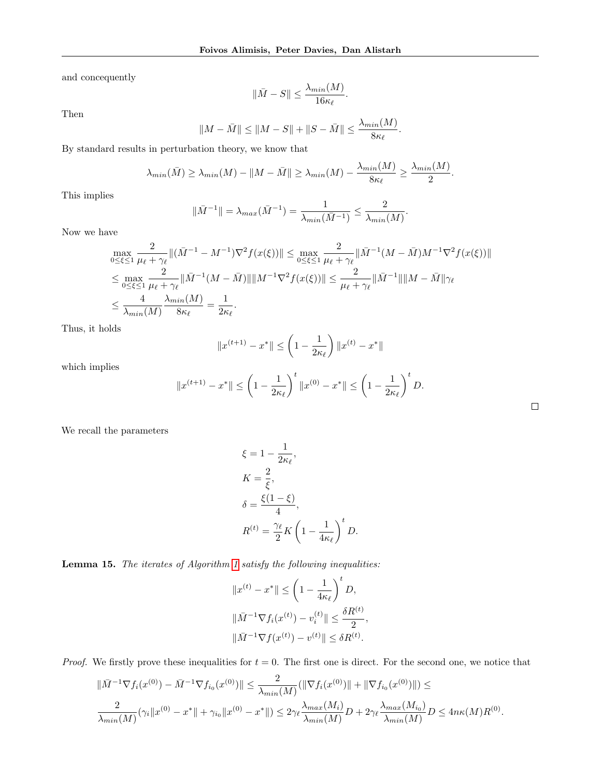and concequently

$$
\|\bar{M} - S\| \le \frac{\lambda_{min}(M)}{16\kappa_{\ell}}.
$$

Then

$$
||M - \bar{M}|| \le ||M - S|| + ||S - \bar{M}|| \le \frac{\lambda_{min}(M)}{8\kappa_{\ell}}.
$$

By standard results in perturbation theory, we know that

$$
\lambda_{min}(\bar{M}) \ge \lambda_{min}(M) - \|M - \bar{M}\| \ge \lambda_{min}(M) - \frac{\lambda_{min}(M)}{8\kappa_{\ell}} \ge \frac{\lambda_{min}(M)}{2}.
$$

This implies

$$
\|\bar{M}^{-1}\| = \lambda_{max}(\bar{M}^{-1}) = \frac{1}{\lambda_{min}(\bar{M}^{-1})} \le \frac{2}{\lambda_{min}(M)}.
$$

Now we have

$$
\max_{0 \leq \xi \leq 1} \frac{2}{\mu_{\ell} + \gamma_{\ell}} \| (\bar{M}^{-1} - M^{-1}) \nabla^2 f(x(\xi)) \| \leq \max_{0 \leq \xi \leq 1} \frac{2}{\mu_{\ell} + \gamma_{\ell}} \| \bar{M}^{-1} (M - \bar{M}) M^{-1} \nabla^2 f(x(\xi)) \|
$$
  
\n
$$
\leq \max_{0 \leq \xi \leq 1} \frac{2}{\mu_{\ell} + \gamma_{\ell}} \| \bar{M}^{-1} (M - \bar{M}) \| \| M^{-1} \nabla^2 f(x(\xi)) \| \leq \frac{2}{\mu_{\ell} + \gamma_{\ell}} \| \bar{M}^{-1} \| \| M - \bar{M} \| \gamma_{\ell}
$$
  
\n
$$
\leq \frac{4}{\lambda_{\min}(M)} \frac{\lambda_{\min}(M)}{8\kappa_{\ell}} = \frac{1}{2\kappa_{\ell}}.
$$

Thus, it holds

$$
||x^{(t+1)} - x^*|| \le \left(1 - \frac{1}{2\kappa_\ell}\right) ||x^{(t)} - x^*||
$$

which implies

$$
||x^{(t+1)} - x^*|| \le \left(1 - \frac{1}{2\kappa_\ell}\right)^t ||x^{(0)} - x^*|| \le \left(1 - \frac{1}{2\kappa_\ell}\right)^t D.
$$

 $\Box$ 

We recall the parameters

$$
\xi = 1 - \frac{1}{2\kappa_{\ell}},
$$
  
\n
$$
K = \frac{2}{\xi},
$$
  
\n
$$
\delta = \frac{\xi(1-\xi)}{4},
$$
  
\n
$$
R^{(t)} = \frac{\gamma_{\ell}}{2} K \left(1 - \frac{1}{4\kappa_{\ell}}\right)^{t} D.
$$

Lemma [1](#page-19-2)5. The iterates of Algorithm 1 satisfy the following inequalities:

$$
||x^{(t)} - x^*|| \le \left(1 - \frac{1}{4\kappa_{\ell}}\right)^t D,
$$
  

$$
||\bar{M}^{-1} \nabla f_i(x^{(t)}) - v_i^{(t)}|| \le \frac{\delta R^{(t)}}{2},
$$
  

$$
||\bar{M}^{-1} \nabla f(x^{(t)}) - v^{(t)}|| \le \delta R^{(t)}.
$$

*Proof.* We firstly prove these inequalities for  $t = 0$ . The first one is direct. For the second one, we notice that

$$
\|\bar{M}^{-1}\nabla f_i(x^{(0)}) - \bar{M}^{-1}\nabla f_{i_0}(x^{(0)})\| \le \frac{2}{\lambda_{min}(M)} (\|\nabla f_i(x^{(0)})\| + \|\nabla f_{i_0}(x^{(0)})\|) \le
$$
  

$$
\frac{2}{\lambda_{min}(M)} (\gamma_i \|x^{(0)} - x^*\| + \gamma_{i_0} \|x^{(0)} - x^*\|) \le 2\gamma_\ell \frac{\lambda_{max}(M_i)}{\lambda_{min}(M)} D + 2\gamma_\ell \frac{\lambda_{max}(M_{i_0})}{\lambda_{min}(M)} D \le 4n\kappa(M)R^{(0)}.
$$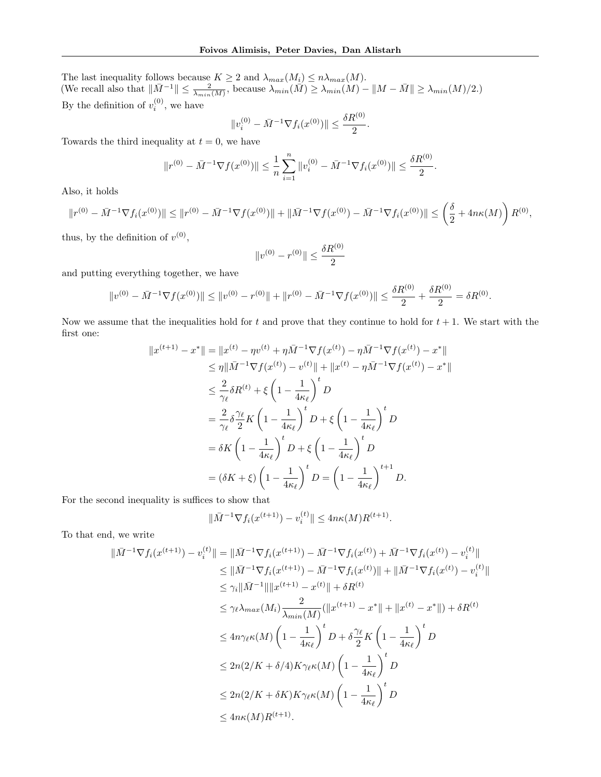The last inequality follows because  $K \geq 2$  and  $\lambda_{max}(M_i) \leq n \lambda_{max}(M)$ . (We recall also that  $\|\bar{M}^{-1}\| \leq \frac{2}{\lambda_{min}(M)}$ , because  $\lambda_{min}(\bar{M}) \geq \lambda_{min}(M) - \|M - \bar{M}\| \geq \lambda_{min}(M)/2$ .) By the definition of  $v_i^{(0)}$ , we have

$$
||v_i^{(0)} - \bar{M}^{-1} \nabla f_i(x^{(0)})|| \le \frac{\delta R^{(0)}}{2}.
$$

Towards the third inequality at  $t = 0$ , we have

$$
||r^{(0)} - \bar{M}^{-1} \nabla f(x^{(0)})|| \leq \frac{1}{n} \sum_{i=1}^{n} ||v_i^{(0)} - \bar{M}^{-1} \nabla f_i(x^{(0)})|| \leq \frac{\delta R^{(0)}}{2}.
$$

Also, it holds

$$
||r^{(0)} - \bar{M}^{-1} \nabla f_i(x^{(0)})|| \le ||r^{(0)} - \bar{M}^{-1} \nabla f(x^{(0)})|| + ||\bar{M}^{-1} \nabla f(x^{(0)}) - \bar{M}^{-1} \nabla f_i(x^{(0)})|| \le \left(\frac{\delta}{2} + 4n\kappa(M)\right) R^{(0)},
$$

thus, by the definition of  $v^{(0)}$ ,

$$
||v^{(0)} - r^{(0)}|| \le \frac{\delta R^{(0)}}{2}
$$

and putting everything together, we have

$$
\|v^{(0)} - \bar{M}^{-1} \nabla f(x^{(0)})\| \le \|v^{(0)} - r^{(0)}\| + \|r^{(0)} - \bar{M}^{-1} \nabla f(x^{(0)})\| \le \frac{\delta R^{(0)}}{2} + \frac{\delta R^{(0)}}{2} = \delta R^{(0)}.
$$

Now we assume that the inequalities hold for t and prove that they continue to hold for  $t + 1$ . We start with the first one:

$$
||x^{(t+1)} - x^*|| = ||x^{(t)} - \eta v^{(t)} + \eta \bar{M}^{-1} \nabla f(x^{(t)}) - \eta \bar{M}^{-1} \nabla f(x^{(t)}) - x^*||
$$
  
\n
$$
\leq \eta ||\bar{M}^{-1} \nabla f(x^{(t)}) - v^{(t)}|| + ||x^{(t)} - \eta \bar{M}^{-1} \nabla f(x^{(t)}) - x^*||
$$
  
\n
$$
\leq \frac{2}{\gamma_{\ell}} \delta R^{(t)} + \xi \left(1 - \frac{1}{4\kappa_{\ell}}\right)^t D
$$
  
\n
$$
= \frac{2}{\gamma_{\ell}} \delta \frac{\gamma_{\ell}}{2} K \left(1 - \frac{1}{4\kappa_{\ell}}\right)^t D + \xi \left(1 - \frac{1}{4\kappa_{\ell}}\right)^t D
$$
  
\n
$$
= \delta K \left(1 - \frac{1}{4\kappa_{\ell}}\right)^t D + \xi \left(1 - \frac{1}{4\kappa_{\ell}}\right)^t D
$$
  
\n
$$
= (\delta K + \xi) \left(1 - \frac{1}{4\kappa_{\ell}}\right)^t D = \left(1 - \frac{1}{4\kappa_{\ell}}\right)^{t+1} D.
$$

For the second inequality is suffices to show that

$$
\|\bar{M}^{-1}\nabla f_i(x^{(t+1)}) - v_i^{(t)}\| \le 4n\kappa(M)R^{(t+1)}.
$$

To that end, we write

$$
\|\bar{M}^{-1}\nabla f_i(x^{(t+1)}) - v_i^{(t)}\| = \|\bar{M}^{-1}\nabla f_i(x^{(t+1)}) - \bar{M}^{-1}\nabla f_i(x^{(t)}) + \bar{M}^{-1}\nabla f_i(x^{(t)}) - v_i^{(t)}\|
$$
  
\n
$$
\leq \|\bar{M}^{-1}\nabla f_i(x^{(t+1)}) - \bar{M}^{-1}\nabla f_i(x^{(t)})\| + \|\bar{M}^{-1}\nabla f_i(x^{(t)}) - v_i^{(t)}\|
$$
  
\n
$$
\leq \gamma_i \|\bar{M}^{-1}\| \|x^{(t+1)} - x^{(t)}\| + \delta R^{(t)}
$$
  
\n
$$
\leq \gamma_\ell \lambda_{max}(M_i) \frac{2}{\lambda_{min}(M)} (\|x^{(t+1)} - x^*\| + \|x^{(t)} - x^*\|) + \delta R^{(t)}
$$
  
\n
$$
\leq 4n\gamma_\ell \kappa(M) \left(1 - \frac{1}{4\kappa_\ell}\right)^t D + \delta \frac{\gamma_\ell}{2} K \left(1 - \frac{1}{4\kappa_\ell}\right)^t D
$$
  
\n
$$
\leq 2n(2/K + \delta/4) K \gamma_\ell \kappa(M) \left(1 - \frac{1}{4\kappa_\ell}\right)^t D
$$
  
\n
$$
\leq 2n(2/K + \delta K) K \gamma_\ell \kappa(M) \left(1 - \frac{1}{4\kappa_\ell}\right)^t D
$$
  
\n
$$
\leq 4n\kappa(M) R^{(t+1)}.
$$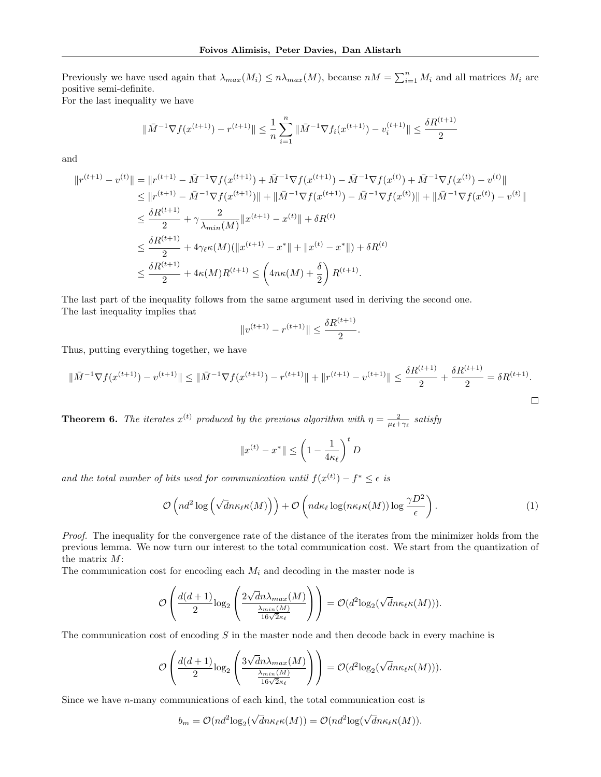Previously we have used again that  $\lambda_{max}(M_i) \leq n \lambda_{max}(M)$ , because  $nM = \sum_{i=1}^{n} M_i$  and all matrices  $M_i$  are positive semi-definite.

For the last inequality we have

$$
\|\bar{M}^{-1}\nabla f(x^{(t+1)}) - r^{(t+1)}\| \le \frac{1}{n} \sum_{i=1}^{n} \|\bar{M}^{-1}\nabla f_i(x^{(t+1)}) - v_i^{(t+1)}\| \le \frac{\delta R^{(t+1)}}{2}
$$

and

$$
||r^{(t+1)} - v^{(t)}|| = ||r^{(t+1)} - \bar{M}^{-1} \nabla f(x^{(t+1)}) + \bar{M}^{-1} \nabla f(x^{(t+1)}) - \bar{M}^{-1} \nabla f(x^{(t)}) + \bar{M}^{-1} \nabla f(x^{(t)}) - v^{(t)}||
$$
  
\n
$$
\leq ||r^{(t+1)} - \bar{M}^{-1} \nabla f(x^{(t+1)})|| + ||\bar{M}^{-1} \nabla f(x^{(t+1)}) - \bar{M}^{-1} \nabla f(x^{(t)})|| + ||\bar{M}^{-1} \nabla f(x^{(t)}) - v^{(t)}||
$$
  
\n
$$
\leq \frac{\delta R^{(t+1)}}{2} + \gamma \frac{2}{\lambda_{min}(M)} ||x^{(t+1)} - x^{(t)}|| + \delta R^{(t)}
$$
  
\n
$$
\leq \frac{\delta R^{(t+1)}}{2} + 4\gamma_{\ell} \kappa(M)(||x^{(t+1)} - x^*|| + ||x^{(t)} - x^*||) + \delta R^{(t)}
$$
  
\n
$$
\leq \frac{\delta R^{(t+1)}}{2} + 4\kappa(M)R^{(t+1)} \leq \left(4n\kappa(M) + \frac{\delta}{2}\right)R^{(t+1)}.
$$

The last part of the inequality follows from the same argument used in deriving the second one. The last inequality implies that

$$
||v^{(t+1)} - r^{(t+1)}|| \le \frac{\delta R^{(t+1)}}{2}.
$$

Thus, putting everything together, we have

$$
\|\bar{M}^{-1}\nabla f(x^{(t+1)}) - v^{(t+1)}\| \le \|\bar{M}^{-1}\nabla f(x^{(t+1)}) - r^{(t+1)}\| + \|r^{(t+1)} - v^{(t+1)}\| \le \frac{\delta R^{(t+1)}}{2} + \frac{\delta R^{(t+1)}}{2} = \delta R^{(t+1)}.
$$

**Theorem 6.** The iterates  $x^{(t)}$  produced by the previous algorithm with  $\eta = \frac{2}{\mu_t + \gamma_t}$  satisfy

$$
||x^{(t)} - x^*|| \le \left(1 - \frac{1}{4\kappa_\ell}\right)^t D
$$

and the total number of bits used for communication until  $f(x^{(t)}) - f^* \leq \epsilon$  is

$$
\mathcal{O}\left(nd^2\log\left(\sqrt{d}n\kappa_{\ell}\kappa(M)\right)\right) + \mathcal{O}\left(nd\kappa_{\ell}\log(n\kappa_{\ell}\kappa(M))\log\frac{\gamma D^2}{\epsilon}\right). \tag{1}
$$

Proof. The inequality for the convergence rate of the distance of the iterates from the minimizer holds from the previous lemma. We now turn our interest to the total communication cost. We start from the quantization of the matrix M:

The communication cost for encoding each  $M_i$  and decoding in the master node is

$$
\mathcal{O}\left(\frac{d(d+1)}{2}\text{log}_2\left(\frac{2\sqrt{d}n\lambda_{max}(M)}{\frac{\lambda_{min}(M)}{16\sqrt{2}\kappa_{\ell}}}\right)\right)=\mathcal{O}(d^2\text{log}_2(\sqrt{d}n\kappa_{\ell}\kappa(M))).
$$

The communication cost of encoding  $S$  in the master node and then decode back in every machine is

$$
\mathcal{O}\left(\frac{d(d+1)}{2}\text{log}_2\left(\frac{3\sqrt{d}n\lambda_{max}(M)}{\frac{\lambda_{min}(M)}{16\sqrt{2}\kappa_{\ell}}}\right)\right)=\mathcal{O}(d^2\text{log}_2(\sqrt{d}n\kappa_{\ell}\kappa(M))).
$$

Since we have n-many communications of each kind, the total communication cost is

$$
b_m = \mathcal{O}(nd^2 \log_2(\sqrt{d}n\kappa_{\ell}\kappa(M)) = \mathcal{O}(nd^2 \log(\sqrt{d}n\kappa_{\ell}\kappa(M))).
$$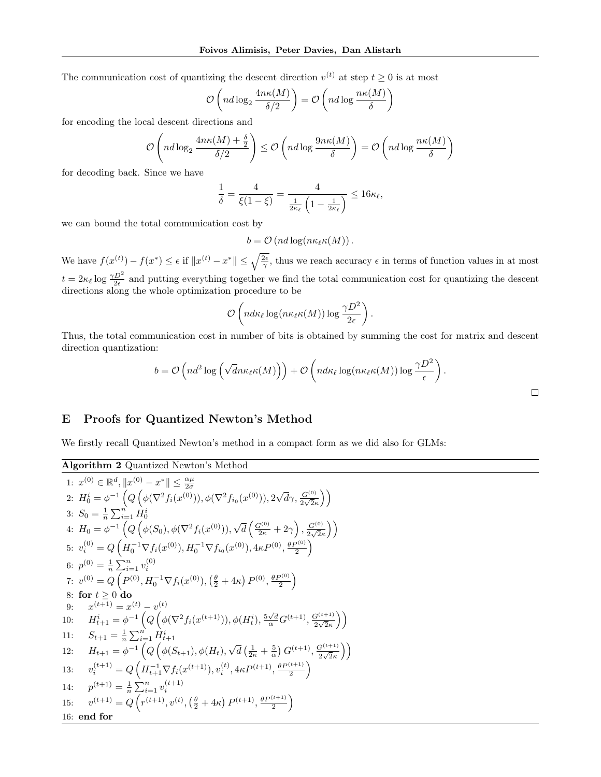The communication cost of quantizing the descent direction  $v^{(t)}$  at step  $t \geq 0$  is at most

$$
\mathcal{O}\left(nd\log_2\frac{4n\kappa(M)}{\delta/2}\right) = \mathcal{O}\left(nd\log\frac{n\kappa(M)}{\delta}\right)
$$

for encoding the local descent directions and

$$
\mathcal{O}\left(nd\log_2\frac{4n\kappa(M)+\frac{\delta}{2}}{\delta/2}\right)\leq \mathcal{O}\left(nd\log\frac{9n\kappa(M)}{\delta}\right)=\mathcal{O}\left(nd\log\frac{n\kappa(M)}{\delta}\right)
$$

for decoding back. Since we have

$$
\frac{1}{\delta} = \frac{4}{\xi(1-\xi)} = \frac{4}{\frac{1}{2\kappa_{\ell}}\left(1-\frac{1}{2\kappa_{\ell}}\right)} \leq 16\kappa_{\ell},
$$

we can bound the total communication cost by

 $b = \mathcal{O}(nd \log(n \kappa_{\ell} \kappa(M)).$ 

We have  $f(x^{(t)}) - f(x^*) \leq \epsilon$  if  $||x^{(t)} - x^*|| \leq \sqrt{\frac{2\epsilon}{\gamma}}$ , thus we reach accuracy  $\epsilon$  in terms of function values in at most  $t = 2\kappa_\ell \log \frac{\gamma D^2}{2\epsilon}$  and putting everything together we find the total communication cost for quantizing the descent directions along the whole optimization procedure to be

$$
\mathcal{O}\left(nd\kappa_{\ell}\log(n\kappa_{\ell}\kappa(M))\log\frac{\gamma D^2}{2\epsilon}\right).
$$

Thus, the total communication cost in number of bits is obtained by summing the cost for matrix and descent direction quantization:

$$
b = \mathcal{O}\left(nd^2\log\left(\sqrt{dn}\kappa_{\ell}\kappa(M)\right)\right) + \mathcal{O}\left(nd\kappa_{\ell}\log(n\kappa_{\ell}\kappa(M))\log\frac{\gamma D^2}{\epsilon}\right).
$$

# <span id="page-24-0"></span>E Proofs for Quantized Newton's Method

We firstly recall Quantized Newton's method in a compact form as we did also for GLMs:

Algorithm 2 Quantized Newton's Method

1: 
$$
x^{(0)} \in \mathbb{R}^{d}
$$
,  $||x^{(0)} - x^{*}|| \leq \frac{\alpha\mu}{2\sigma}$   
\n2:  $H_{0}^{i} = \phi^{-1} \left(Q\left(\phi(\nabla^{2}f_{i}(x^{(0)})), \phi(\nabla^{2}f_{i_{0}}(x^{(0)})), 2\sqrt{d}\gamma, \frac{G^{(0)}}{2\sqrt{2\kappa}}\right)\right)$   
\n3:  $S_{0} = \frac{1}{n} \sum_{i=1}^{n} H_{0}^{i}$   
\n4:  $H_{0} = \phi^{-1} \left(Q\left(\phi(S_{0}), \phi(\nabla^{2}f_{i}(x^{(0)})), \sqrt{d}\left(\frac{G^{(0)}}{2\kappa} + 2\gamma\right), \frac{G^{(0)}}{2\sqrt{2\kappa}}\right)\right)$   
\n5:  $v_{i}^{(0)} = Q\left(H_{0}^{-1} \nabla f_{i}(x^{(0)}), H_{0}^{-1} \nabla f_{i_{0}}(x^{(0)}), 4\kappa P^{(0)}, \frac{\theta P^{(0)}}{2}\right)$   
\n6:  $p^{(0)} = \frac{1}{n} \sum_{i=1}^{n} v_{i}^{(0)}$   
\n7:  $v^{(0)} = Q\left(P^{(0)}, H_{0}^{-1} \nabla f_{i}(x^{(0)}), \left(\frac{\theta}{2} + 4\kappa\right) P^{(0)}, \frac{\theta P^{(0)}}{2}\right)$   
\n8: **for**  $t \geq 0$  **do**  
\n9:  $x^{(t+1)} = x^{(t)} - v^{(t)}$   
\n10:  $H_{t+1}^{i} = \phi^{-1} \left(Q\left(\phi(\nabla^{2}f_{i}(x^{(t+1)})), \phi(H_{t}^{i}), \frac{5\sqrt{d}}{\alpha} G^{(t+1)}, \frac{G^{(t+1)}}{2\sqrt{2\kappa}}\right)\right)$   
\n11:  $S_{t+1} = \frac{1}{n} \sum_{i=1}^{n} H_{t+1}^{i}$   
\n12:  $H_{t+1} = \phi^{-1} \left(Q\left(\phi(S_{t+1}), \phi(H_{t}), \sqrt{d}\left(\frac{1}{2\kappa} + \frac$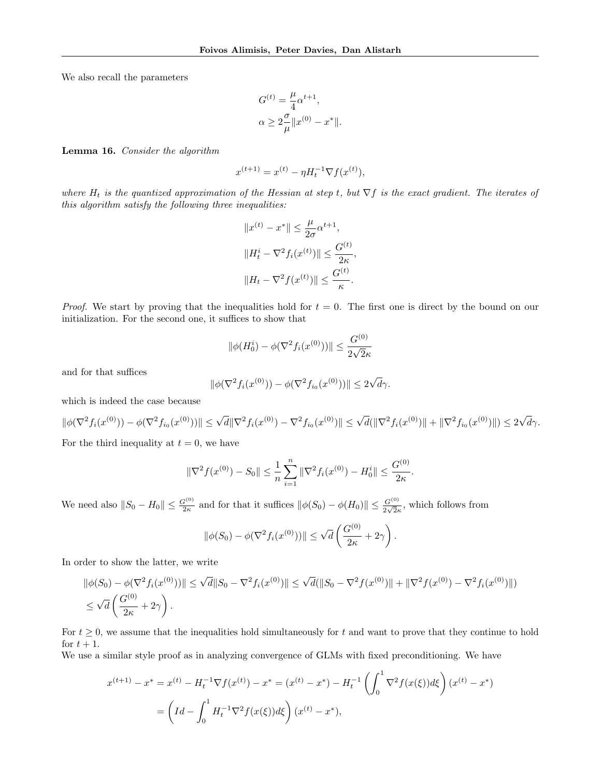We also recall the parameters

$$
G^{(t)} = \frac{\mu}{4} \alpha^{t+1},
$$
  

$$
\alpha \ge 2 \frac{\sigma}{\mu} ||x^{(0)} - x^*||.
$$

<span id="page-25-0"></span>Lemma 16. Consider the algorithm

$$
x^{(t+1)} = x^{(t)} - \eta H_t^{-1} \nabla f(x^{(t)}),
$$

where  $H_t$  is the quantized approximation of the Hessian at step t, but  $\nabla f$  is the exact gradient. The iterates of this algorithm satisfy the following three inequalities:

$$
||x^{(t)} - x^*|| \le \frac{\mu}{2\sigma} \alpha^{t+1},
$$
  

$$
||H_t^i - \nabla^2 f_i(x^{(t)})|| \le \frac{G^{(t)}}{2\kappa},
$$
  

$$
||H_t - \nabla^2 f(x^{(t)})|| \le \frac{G^{(t)}}{\kappa}.
$$

*Proof.* We start by proving that the inequalities hold for  $t = 0$ . The first one is direct by the bound on our initialization. For the second one, it suffices to show that

$$
\|\phi(H_0^i) - \phi(\nabla^2 f_i(x^{(0)}))\| \le \frac{G^{(0)}}{2\sqrt{2}\kappa}
$$

and for that suffices

$$
\|\phi(\nabla^2 f_i(x^{(0)})) - \phi(\nabla^2 f_{i_0}(x^{(0)}))\| \le 2\sqrt{d}\gamma.
$$

which is indeed the case because

 $\|\phi(\nabla^2 f_i(x^{(0)})) - \phi(\nabla^2 f_{i_0}(x^{(0)}))\| \leq \sqrt{d} \|\nabla^2 f_i(x^{(0)}) - \nabla^2 f_{i_0}(x^{(0)})\| \leq \sqrt{d}(\|\nabla^2 f_i(x^{(0)})\| + \|\nabla^2 f_{i_0}(x^{(0)})\|) \leq 2\sqrt{d}$ dγ.

For the third inequality at  $t = 0$ , we have

$$
\|\nabla^2 f(x^{(0)}) - S_0\| \le \frac{1}{n} \sum_{i=1}^n \|\nabla^2 f_i(x^{(0)}) - H_0^i\| \le \frac{G^{(0)}}{2\kappa}.
$$

We need also  $||S_0 - H_0|| \leq \frac{G^{(0)}}{2\kappa}$  and for that it suffices  $||\phi(S_0) - \phi(H_0)|| \leq \frac{G^{(0)}}{2\sqrt{2}\kappa}$ , which follows from

$$
\|\phi(S_0) - \phi(\nabla^2 f_i(x^{(0)}))\| \le \sqrt{d} \left(\frac{G^{(0)}}{2\kappa} + 2\gamma\right).
$$

In order to show the latter, we write

$$
\|\phi(S_0) - \phi(\nabla^2 f_i(x^{(0)}))\| \le \sqrt{d} \|S_0 - \nabla^2 f_i(x^{(0)})\| \le \sqrt{d} (\|S_0 - \nabla^2 f(x^{(0)})\| + \|\nabla^2 f(x^{(0)}) - \nabla^2 f_i(x^{(0)})\|)
$$
  

$$
\le \sqrt{d} \left(\frac{G^{(0)}}{2\kappa} + 2\gamma\right).
$$

For  $t \geq 0$ , we assume that the inequalities hold simultaneously for t and want to prove that they continue to hold for  $t+1$ .

We use a similar style proof as in analyzing convergence of GLMs with fixed preconditioning. We have

$$
x^{(t+1)} - x^* = x^{(t)} - H_t^{-1} \nabla f(x^{(t)}) - x^* = (x^{(t)} - x^*) - H_t^{-1} \left( \int_0^1 \nabla^2 f(x(\xi)) d\xi \right) (x^{(t)} - x^*)
$$
  
= 
$$
\left( Id - \int_0^1 H_t^{-1} \nabla^2 f(x(\xi)) d\xi \right) (x^{(t)} - x^*),
$$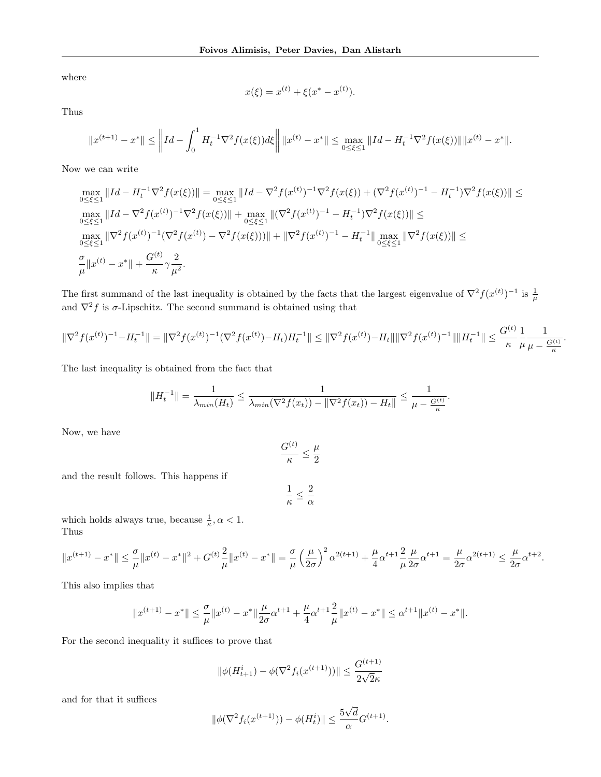where

$$
x(\xi) = x^{(t)} + \xi(x^* - x^{(t)}).
$$

Thus

$$
||x^{(t+1)} - x^*|| \le ||Id - \int_0^1 H_t^{-1} \nabla^2 f(x(\xi)) d\xi || ||x^{(t)} - x^*|| \le \max_{0 \le \xi \le 1} ||Id - H_t^{-1} \nabla^2 f(x(\xi)) || ||x^{(t)} - x^*||.
$$

Now we can write

$$
\max_{0 \leq \xi \leq 1} \|Id - H_t^{-1} \nabla^2 f(x(\xi))\| = \max_{0 \leq \xi \leq 1} \|Id - \nabla^2 f(x^{(t)})^{-1} \nabla^2 f(x(\xi)) + (\nabla^2 f(x^{(t)})^{-1} - H_t^{-1}) \nabla^2 f(x(\xi))\| \leq
$$
\n
$$
\max_{0 \leq \xi \leq 1} \|Id - \nabla^2 f(x^{(t)})^{-1} \nabla^2 f(x(\xi))\| + \max_{0 \leq \xi \leq 1} \|(\nabla^2 f(x^{(t)})^{-1} - H_t^{-1}) \nabla^2 f(x(\xi))\| \leq
$$
\n
$$
\max_{0 \leq \xi \leq 1} \|\nabla^2 f(x^{(t)})^{-1} (\nabla^2 f(x^{(t)}) - \nabla^2 f(x(\xi)))\| + \|\nabla^2 f(x^{(t)})^{-1} - H_t^{-1}\| \max_{0 \leq \xi \leq 1} \|\nabla^2 f(x(\xi))\| \leq
$$
\n
$$
\frac{\sigma}{\mu} \|x^{(t)} - x^*\| + \frac{G^{(t)}}{\kappa} \gamma \frac{2}{\mu^2}.
$$

The first summand of the last inequality is obtained by the facts that the largest eigenvalue of  $\nabla^2 f(x^{(t)})^{-1}$  is  $\frac{1}{\mu}$  and  $\nabla^2 f$  is  $\sigma$ -Lipschitz. The second summand is obtained using that

$$
\|\nabla^2 f(x^{(t)})^{-1} - H_t^{-1}\| = \|\nabla^2 f(x^{(t)})^{-1} (\nabla^2 f(x^{(t)}) - H_t)H_t^{-1}\| \le \|\nabla^2 f(x^{(t)}) - H_t\| \|\nabla^2 f(x^{(t)})^{-1}\| \|H_t^{-1}\| \le \frac{G^{(t)}}{\kappa} \frac{1}{\mu} \frac{1}{\mu - \frac{G^{(t)}}{\kappa}}
$$

.

The last inequality is obtained from the fact that

$$
||H_t^{-1}|| = \frac{1}{\lambda_{min}(H_t)} \le \frac{1}{\lambda_{min}(\nabla^2 f(x_t)) - ||\nabla^2 f(x_t)) - H_t||} \le \frac{1}{\mu - \frac{G^{(t)}}{\kappa}}.
$$

Now, we have

$$
\frac{G^{(t)}}{\kappa}\leq \frac{\mu}{2}
$$

and the result follows. This happens if

$$
\frac{1}{\kappa} \leq \frac{2}{\alpha}
$$

which holds always true, because  $\frac{1}{\kappa}, \alpha < 1$ . Thus

$$
||x^{(t+1)} - x^*|| \leq \frac{\sigma}{\mu} ||x^{(t)} - x^*||^2 + G^{(t)} \frac{2}{\mu} ||x^{(t)} - x^*|| = \frac{\sigma}{\mu} \left(\frac{\mu}{2\sigma}\right)^2 \alpha^{2(t+1)} + \frac{\mu}{4} \alpha^{t+1} \frac{2}{\mu} \frac{\mu}{2\sigma} \alpha^{t+1} = \frac{\mu}{2\sigma} \alpha^{2(t+1)} \leq \frac{\mu}{2\sigma} \alpha^{t+2}.
$$

This also implies that

$$
||x^{(t+1)} - x^*|| \leq \frac{\sigma}{\mu} ||x^{(t)} - x^*|| \frac{\mu}{2\sigma} \alpha^{t+1} + \frac{\mu}{4} \alpha^{t+1} \frac{2}{\mu} ||x^{(t)} - x^*|| \leq \alpha^{t+1} ||x^{(t)} - x^*||.
$$

For the second inequality it suffices to prove that

$$
\|\phi(H_{t+1}^i) - \phi(\nabla^2 f_i(x^{(t+1)}))\| \le \frac{G^{(t+1)}}{2\sqrt{2}\kappa}
$$

and for that it suffices

$$
\|\phi(\nabla^2 f_i(x^{(t+1)})) - \phi(H_t^i)\| \le \frac{5\sqrt{d}}{\alpha} G^{(t+1)}.
$$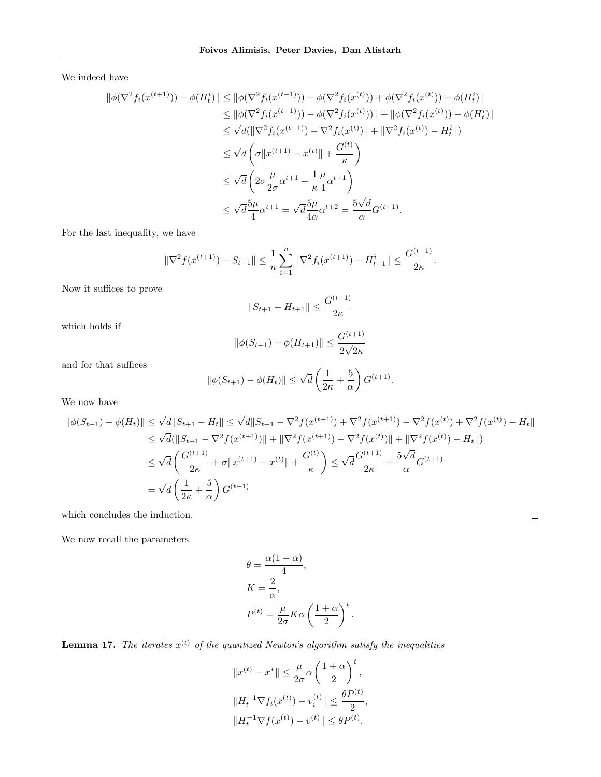We indeed have

$$
\begin{split} \|\phi(\nabla^{2} f_{i}(x^{(t+1)})) - \phi(H_{t}^{i})\| &\leq \|\phi(\nabla^{2} f_{i}(x^{(t+1)})) - \phi(\nabla^{2} f_{i}(x^{(t)})) + \phi(\nabla^{2} f_{i}(x^{(t)})) - \phi(H_{t}^{i})\| \\ &\leq \|\phi(\nabla^{2} f_{i}(x^{(t+1)})) - \phi(\nabla^{2} f_{i}(x^{(t)}))\| + \|\phi(\nabla^{2} f_{i}(x^{(t)})) - \phi(H_{t}^{i})\| \\ &\leq \sqrt{d} \left( \|\nabla^{2} f_{i}(x^{(t+1)}) - \nabla^{2} f_{i}(x^{(t)})\| + \|\nabla^{2} f_{i}(x^{(t)}) - H_{t}^{i}\| \right) \\ &\leq \sqrt{d} \left( \sigma \|x^{(t+1)} - x^{(t)}\| + \frac{G^{(t)}}{\kappa} \right) \\ &\leq \sqrt{d} \left( 2\sigma \frac{\mu}{2\sigma} \alpha^{t+1} + \frac{1}{\kappa} \frac{\mu}{4} \alpha^{t+1} \right) \\ &\leq \sqrt{d} \frac{5\mu}{4} \alpha^{t+1} = \sqrt{d} \frac{5\mu}{4\alpha} \alpha^{t+2} = \frac{5\sqrt{d}}{\alpha} G^{(t+1)}. \end{split}
$$

For the last inequality, we have

$$
\|\nabla^2 f(x^{(t+1)}) - S_{t+1}\| \leq \frac{1}{n} \sum_{i=1}^n \|\nabla^2 f_i(x^{(t+1)}) - H_{t+1}^i\| \leq \frac{G^{(t+1)}}{2\kappa}.
$$

Now it suffices to prove

$$
||S_{t+1} - H_{t+1}|| \le \frac{G^{(t+1)}}{2\kappa}
$$

which holds if

$$
\|\phi(S_{t+1}) - \phi(H_{t+1})\| \le \frac{G^{(t+1)}}{2\sqrt{2}\kappa}
$$

and for that suffices

$$
\|\phi(S_{t+1}) - \phi(H_t)\| \le \sqrt{d} \left(\frac{1}{2\kappa} + \frac{5}{\alpha}\right) G^{(t+1)}.
$$

We now have

$$
\|\phi(S_{t+1}) - \phi(H_t)\| \leq \sqrt{d} \|S_{t+1} - H_t\| \leq \sqrt{d} \|S_{t+1} - \nabla^2 f(x^{(t+1)}) + \nabla^2 f(x^{(t+1)}) - \nabla^2 f(x^{(t)}) + \nabla^2 f(x^{(t)}) - H_t\|
$$
  
\n
$$
\leq \sqrt{d} (\|S_{t+1} - \nabla^2 f(x^{(t+1)})\| + \|\nabla^2 f(x^{(t+1)}) - \nabla^2 f(x^{(t)})\| + \|\nabla^2 f(x^{(t)}) - H_t\|)
$$
  
\n
$$
\leq \sqrt{d} \left(\frac{G^{(t+1)}}{2\kappa} + \sigma \|x^{(t+1)} - x^{(t)}\| + \frac{G^{(t)}}{\kappa}\right) \leq \sqrt{d} \frac{G^{(t+1)}}{2\kappa} + \frac{5\sqrt{d}}{\alpha} G^{(t+1)}
$$
  
\n
$$
= \sqrt{d} \left(\frac{1}{2\kappa} + \frac{5}{\alpha}\right) G^{(t+1)}
$$
  
\nwhich concludes the induction.

which concludes the induction.

We now recall the parameters

$$
\theta = \frac{\alpha(1-\alpha)}{4},
$$
  
\n
$$
K = \frac{2}{\alpha},
$$
  
\n
$$
P^{(t)} = \frac{\mu}{2\sigma} K \alpha \left(\frac{1+\alpha}{2}\right)^t.
$$

<span id="page-27-0"></span>**Lemma 17.** The iterates  $x^{(t)}$  of the quantized Newton's algorithm satisfy the inequalities

$$
||x^{(t)} - x^*|| \le \frac{\mu}{2\sigma} \alpha \left(\frac{1+\alpha}{2}\right)^t,
$$
  

$$
||H_t^{-1} \nabla f_i(x^{(t)}) - v_i^{(t)}|| \le \frac{\theta P^{(t)}}{2},
$$
  

$$
||H_t^{-1} \nabla f(x^{(t)}) - v^{(t)}|| \le \theta P^{(t)}.
$$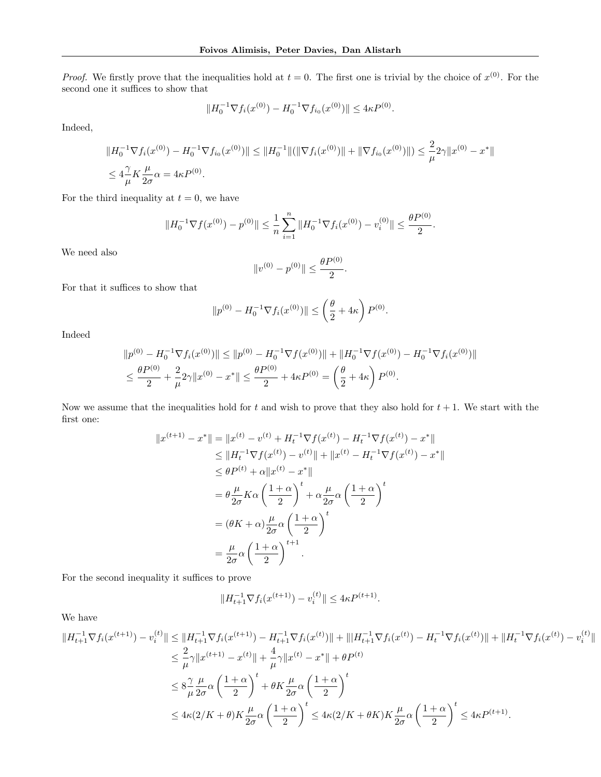*Proof.* We firstly prove that the inequalities hold at  $t = 0$ . The first one is trivial by the choice of  $x^{(0)}$ . For the second one it suffices to show that

$$
||H_0^{-1} \nabla f_i(x^{(0)}) - H_0^{-1} \nabla f_{i_0}(x^{(0)})|| \leq 4\kappa P^{(0)}.
$$

Indeed,

$$
||H_0^{-1} \nabla f_i(x^{(0)}) - H_0^{-1} \nabla f_{i_0}(x^{(0)})|| \le ||H_0^{-1}||(||\nabla f_i(x^{(0)})|| + ||\nabla f_{i_0}(x^{(0)})||) \le \frac{2}{\mu} 2\gamma ||x^{(0)} - x^*||
$$
  

$$
\le 4\frac{\gamma}{\mu} K \frac{\mu}{2\sigma} \alpha = 4\kappa P^{(0)}.
$$

For the third inequality at  $t = 0$ , we have

$$
||H_0^{-1} \nabla f(x^{(0)}) - p^{(0)}|| \le \frac{1}{n} \sum_{i=1}^n ||H_0^{-1} \nabla f_i(x^{(0)}) - v_i^{(0)}|| \le \frac{\theta P^{(0)}}{2}.
$$

We need also

$$
||v^{(0)} - p^{(0)}|| \le \frac{\theta P^{(0)}}{2}.
$$

For that it suffices to show that

$$
||p^{(0)} - H_0^{-1} \nabla f_i(x^{(0)})|| \le \left(\frac{\theta}{2} + 4\kappa\right) P^{(0)}.
$$

Indeed

$$
||p^{(0)} - H_0^{-1} \nabla f_i(x^{(0)})|| \le ||p^{(0)} - H_0^{-1} \nabla f(x^{(0)})|| + ||H_0^{-1} \nabla f(x^{(0)}) - H_0^{-1} \nabla f_i(x^{(0)})||
$$
  

$$
\le \frac{\theta P^{(0)}}{2} + \frac{2}{\mu} 2\gamma ||x^{(0)} - x^*|| \le \frac{\theta P^{(0)}}{2} + 4\kappa P^{(0)} = \left(\frac{\theta}{2} + 4\kappa\right) P^{(0)}.
$$

Now we assume that the inequalities hold for t and wish to prove that they also hold for  $t + 1$ . We start with the first one:

$$
||x^{(t+1)} - x^*|| = ||x^{(t)} - v^{(t)} + H_t^{-1} \nabla f(x^{(t)}) - H_t^{-1} \nabla f(x^{(t)}) - x^*||
$$
  
\n
$$
\leq ||H_t^{-1} \nabla f(x^{(t)}) - v^{(t)}|| + ||x^{(t)} - H_t^{-1} \nabla f(x^{(t)}) - x^*||
$$
  
\n
$$
\leq \theta P^{(t)} + \alpha ||x^{(t)} - x^*||
$$
  
\n
$$
= \theta \frac{\mu}{2\sigma} K\alpha \left(\frac{1+\alpha}{2}\right)^t + \alpha \frac{\mu}{2\sigma} \alpha \left(\frac{1+\alpha}{2}\right)^t
$$
  
\n
$$
= (\theta K + \alpha) \frac{\mu}{2\sigma} \alpha \left(\frac{1+\alpha}{2}\right)^t
$$
  
\n
$$
= \frac{\mu}{2\sigma} \alpha \left(\frac{1+\alpha}{2}\right)^{t+1}.
$$

For the second inequality it suffices to prove

$$
||H_{t+1}^{-1} \nabla f_i(x^{(t+1)}) - v_i^{(t)}|| \le 4\kappa P^{(t+1)}.
$$

We have

$$
||H_{t+1}^{-1} \nabla f_i(x^{(t+1)}) - v_i^{(t)}|| \le ||H_{t+1}^{-1} \nabla f_i(x^{(t+1)}) - H_{t+1}^{-1} \nabla f_i(x^{(t)})|| + ||H_{t+1}^{-1} \nabla f_i(x^{(t)}) - H_t^{-1} \nabla f_i(x^{(t)})|| + ||H_t^{-1} \nabla f_i(x^{(t)}) - v_i^{(t)}||
$$
  
\n
$$
\le \frac{2}{\mu} \gamma ||x^{(t+1)} - x^{(t)}|| + \frac{4}{\mu} \gamma ||x^{(t)} - x^*|| + \theta P^{(t)}
$$
  
\n
$$
\le 8 \frac{\gamma}{\mu} \frac{\mu}{2\sigma} \alpha \left(\frac{1+\alpha}{2}\right)^t + \theta K \frac{\mu}{2\sigma} \alpha \left(\frac{1+\alpha}{2}\right)^t
$$
  
\n
$$
\le 4\kappa (2/K + \theta) K \frac{\mu}{2\sigma} \alpha \left(\frac{1+\alpha}{2}\right)^t \le 4\kappa (2/K + \theta K) K \frac{\mu}{2\sigma} \alpha \left(\frac{1+\alpha}{2}\right)^t \le 4\kappa P^{(t+1)}.
$$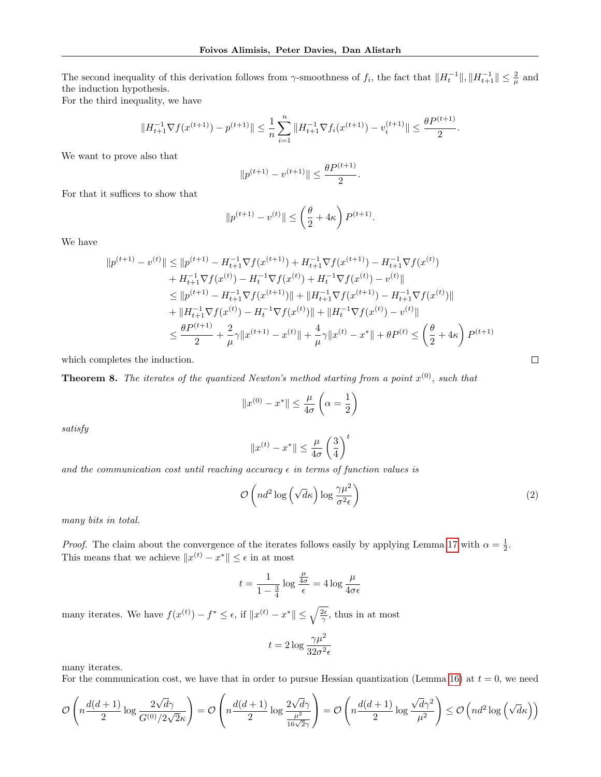The second inequality of this derivation follows from  $\gamma$ -smoothness of  $f_i$ , the fact that  $||H_t^{-1}||, ||H_{t+1}^{-1}|| \leq \frac{2}{\mu}$  and the induction hypothesis.

For the third inequality, we have

$$
||H_{t+1}^{-1} \nabla f(x^{(t+1)}) - p^{(t+1)}|| \leq \frac{1}{n} \sum_{i=1}^{n} ||H_{t+1}^{-1} \nabla f_i(x^{(t+1)}) - v_i^{(t+1)}|| \leq \frac{\theta P^{(t+1)}}{2}.
$$

We want to prove also that

$$
||p^{(t+1)} - v^{(t+1)}|| \le \frac{\theta P^{(t+1)}}{2}.
$$

For that it suffices to show that

$$
||p^{(t+1)} - v^{(t)}|| \le \left(\frac{\theta}{2} + 4\kappa\right) P^{(t+1)}.
$$

We have

$$
||p^{(t+1)} - v^{(t)}|| \le ||p^{(t+1)} - H_{t+1}^{-1} \nabla f(x^{(t+1)}) + H_{t+1}^{-1} \nabla f(x^{(t+1)}) - H_{t+1}^{-1} \nabla f(x^{(t)})
$$
  
+ 
$$
H_{t+1}^{-1} \nabla f(x^{(t)}) - H_t^{-1} \nabla f(x^{(t)}) + H_t^{-1} \nabla f(x^{(t)}) - v^{(t)}||
$$
  

$$
\le ||p^{(t+1)} - H_{t+1}^{-1} \nabla f(x^{(t+1)})|| + ||H_{t+1}^{-1} \nabla f(x^{(t+1)}) - H_{t+1}^{-1} \nabla f(x^{(t)})||
$$
  
+ 
$$
||H_{t+1}^{-1} \nabla f(x^{(t)}) - H_t^{-1} \nabla f(x^{(t)})|| + ||H_t^{-1} \nabla f(x^{(t)}) - v^{(t)}||
$$
  

$$
\le \frac{\theta P^{(t+1)}}{2} + \frac{2}{\mu} \gamma ||x^{(t+1)} - x^{(t)}|| + \frac{4}{\mu} \gamma ||x^{(t)} - x^*|| + \theta P^{(t)} \le \left(\frac{\theta}{2} + 4\kappa\right) P^{(t+1)}
$$

which completes the induction.

**Theorem 8.** The iterates of the quantized Newton's method starting from a point  $x^{(0)}$ , such that

$$
||x^{(0)} - x^*|| \le \frac{\mu}{4\sigma} \left(\alpha = \frac{1}{2}\right)
$$

satisfy

$$
||x^{(t)} - x^*|| \le \frac{\mu}{4\sigma} \left(\frac{3}{4}\right)^t
$$

and the communication cost until reaching accuracy  $\epsilon$  in terms of function values is

$$
\mathcal{O}\left(nd^2\log\left(\sqrt{d}\kappa\right)\log\frac{\gamma\mu^2}{\sigma^2\epsilon}\right) \tag{2}
$$

many bits in total.

*Proof.* The claim about the convergence of the iterates follows easily by applying Lemma [17](#page-27-0) with  $\alpha = \frac{1}{2}$ . This means that we achieve  $||x^{(t)} - x^*|| \leq \epsilon$  in at most

$$
t = \frac{1}{1 - \frac{3}{4}} \log \frac{\frac{\mu}{4\sigma}}{\epsilon} = 4 \log \frac{\mu}{4\sigma \epsilon}
$$

many iterates. We have  $f(x^{(t)}) - f^* \leq \epsilon$ , if  $||x^{(t)} - x^*|| \leq \sqrt{\frac{2\epsilon}{\gamma}}$ , thus in at most

$$
t = 2\log \frac{\gamma \mu^2}{32\sigma^2 \epsilon}
$$

many iterates.

For the communication cost, we have that in order to pursue Hessian quantization (Lemma [16\)](#page-25-0) at  $t = 0$ , we need

$$
\mathcal{O}\left(n\frac{d(d+1)}{2}\log\frac{2\sqrt{d}\gamma}{G^{(0)}/2\sqrt{2}\kappa}\right)=\mathcal{O}\left(n\frac{d(d+1)}{2}\log\frac{2\sqrt{d}\gamma}{\frac{\mu^2}{16\sqrt{2}\gamma}}\right)=\mathcal{O}\left(n\frac{d(d+1)}{2}\log\frac{\sqrt{d}\gamma^2}{\mu^2}\right)\leq\mathcal{O}\left(nd^2\log\left(\sqrt{d}\kappa\right)\right)
$$

 $\Box$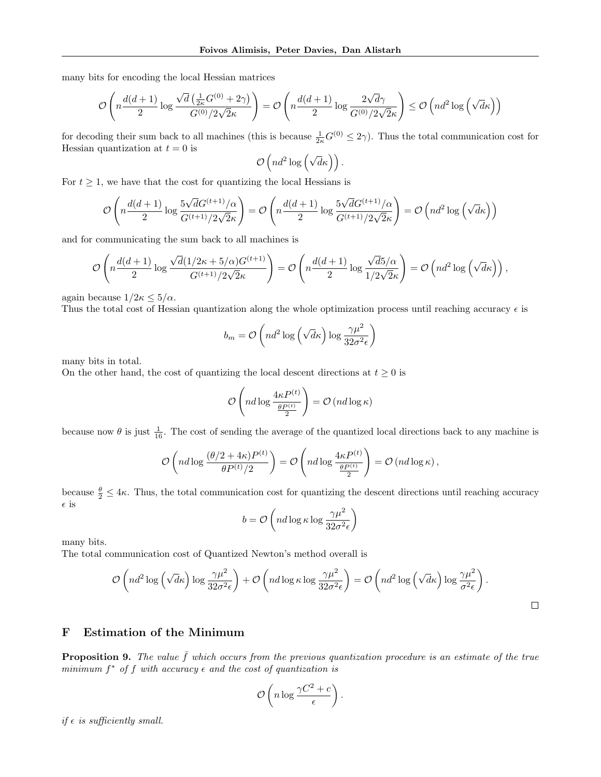many bits for encoding the local Hessian matrices

$$
\mathcal{O}\left(n\frac{d(d+1)}{2}\log\frac{\sqrt{d}\left(\frac{1}{2\kappa}G^{(0)}+2\gamma\right)}{G^{(0)}/2\sqrt{2}\kappa}\right)=\mathcal{O}\left(n\frac{d(d+1)}{2}\log\frac{2\sqrt{d}\gamma}{G^{(0)}/2\sqrt{2}\kappa}\right)\leq\mathcal{O}\left(nd^2\log\left(\sqrt{d}\kappa\right)\right)
$$

for decoding their sum back to all machines (this is because  $\frac{1}{2\kappa}G^{(0)} \leq 2\gamma$ ). Thus the total communication cost for Hessian quantization at  $t = 0$  is

$$
\mathcal{O}\left(nd^2\log\left(\sqrt{d}\kappa\right)\right).
$$

For  $t \geq 1$ , we have that the cost for quantizing the local Hessians is

$$
\mathcal{O}\left(n\frac{d(d+1)}{2}\log\frac{5\sqrt{d}G^{(t+1)}/\alpha}{G^{(t+1)}/2\sqrt{2}\kappa}\right) = \mathcal{O}\left(n\frac{d(d+1)}{2}\log\frac{5\sqrt{d}G^{(t+1)}/\alpha}{G^{(t+1)}/2\sqrt{2}\kappa}\right) = \mathcal{O}\left(nd^2\log\left(\sqrt{d}\kappa\right)\right)
$$

and for communicating the sum back to all machines is

$$
\mathcal{O}\left(n\frac{d(d+1)}{2}\log\frac{\sqrt{d}(1/2\kappa+5/\alpha)G^{(t+1)}}{G^{(t+1)}/2\sqrt{2}\kappa}\right)=\mathcal{O}\left(n\frac{d(d+1)}{2}\log\frac{\sqrt{d}5/\alpha}{1/2\sqrt{2}\kappa}\right)=\mathcal{O}\left(nd^2\log\left(\sqrt{d}\kappa\right)\right),\,
$$

again because  $1/2\kappa \leq 5/\alpha$ .

Thus the total cost of Hessian quantization along the whole optimization process until reaching accuracy  $\epsilon$  is

$$
b_m = \mathcal{O}\left(nd^2 \log\left(\sqrt{d}\kappa\right) \log \frac{\gamma \mu^2}{32\sigma^2 \epsilon}\right)
$$

many bits in total.

On the other hand, the cost of quantizing the local descent directions at  $t \geq 0$  is

$$
\mathcal{O}\left(nd\log\frac{4\kappa P^{(t)}}{\frac{\theta P^{(t)}}{2}}\right) = \mathcal{O}\left(nd\log\kappa\right)
$$

because now  $\theta$  is just  $\frac{1}{16}$ . The cost of sending the average of the quantized local directions back to any machine is

$$
\mathcal{O}\left(nd\log\frac{(\theta/2+4\kappa)P^{(t)}}{\theta P^{(t)}/2}\right)=\mathcal{O}\left(nd\log\frac{4\kappa P^{(t)}}{\frac{\theta P^{(t)}}{2}}\right)=\mathcal{O}\left(nd\log\kappa\right),\,
$$

because  $\frac{\theta}{2} \leq 4\kappa$ . Thus, the total communication cost for quantizing the descent directions until reaching accuracy  $\epsilon$  is

$$
b = \mathcal{O}\left(nd\log \kappa \log \frac{\gamma \mu^2}{32\sigma^2 \epsilon}\right)
$$

many bits.

The total communication cost of Quantized Newton's method overall is

$$
\mathcal{O}\left(nd^2\log\left(\sqrt{d}\kappa\right)\log\frac{\gamma\mu^2}{32\sigma^2\epsilon}\right) + \mathcal{O}\left(nd\log\kappa\log\frac{\gamma\mu^2}{32\sigma^2\epsilon}\right) = \mathcal{O}\left(nd^2\log\left(\sqrt{d}\kappa\right)\log\frac{\gamma\mu^2}{\sigma^2\epsilon}\right).
$$

# <span id="page-30-0"></span>F Estimation of the Minimum

**Proposition 9.** The value  $\bar{f}$  which occurs from the previous quantization procedure is an estimate of the true minimum  $f^*$  of f with accuracy  $\epsilon$  and the cost of quantization is

$$
\mathcal{O}\left(n\log\frac{\gamma C^2+c}{\epsilon}\right).
$$

if  $\epsilon$  is sufficiently small.